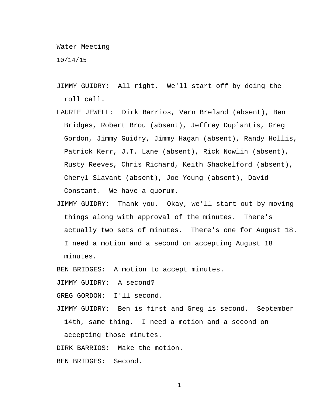Water Meeting

10/14/15

- JIMMY GUIDRY: All right. We'll start off by doing the roll call.
- LAURIE JEWELL: Dirk Barrios, Vern Breland (absent), Ben Bridges, Robert Brou (absent), Jeffrey Duplantis, Greg Gordon, Jimmy Guidry, Jimmy Hagan (absent), Randy Hollis, Patrick Kerr, J.T. Lane (absent), Rick Nowlin (absent), Rusty Reeves, Chris Richard, Keith Shackelford (absent), Cheryl Slavant (absent), Joe Young (absent), David Constant. We have a quorum.
- JIMMY GUIDRY: Thank you. Okay, we'll start out by moving things along with approval of the minutes. There's actually two sets of minutes. There's one for August 18. I need a motion and a second on accepting August 18 minutes.

BEN BRIDGES: A motion to accept minutes.

JIMMY GUIDRY: A second?

GREG GORDON: I'll second.

JIMMY GUIDRY: Ben is first and Greg is second. September 14th, same thing. I need a motion and a second on

accepting those minutes.

DIRK BARRIOS: Make the motion.

BEN BRIDGES: Second.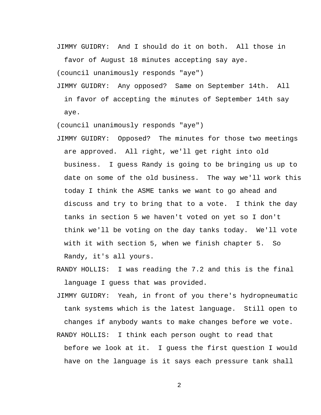JIMMY GUIDRY: And I should do it on both. All those in

favor of August 18 minutes accepting say aye.

(council unanimously responds "aye")

JIMMY GUIDRY: Any opposed? Same on September 14th. All in favor of accepting the minutes of September 14th say aye.

(council unanimously responds "aye")

- JIMMY GUIDRY: Opposed? The minutes for those two meetings are approved. All right, we'll get right into old business. I guess Randy is going to be bringing us up to date on some of the old business. The way we'll work this today I think the ASME tanks we want to go ahead and discuss and try to bring that to a vote. I think the day tanks in section 5 we haven't voted on yet so I don't think we'll be voting on the day tanks today. We'll vote with it with section 5, when we finish chapter 5. So Randy, it's all yours.
- RANDY HOLLIS: I was reading the 7.2 and this is the final language I guess that was provided.
- JIMMY GUIDRY: Yeah, in front of you there's hydropneumatic tank systems which is the latest language. Still open to changes if anybody wants to make changes before we vote. RANDY HOLLIS: I think each person ought to read that
	- before we look at it. I guess the first question I would have on the language is it says each pressure tank shall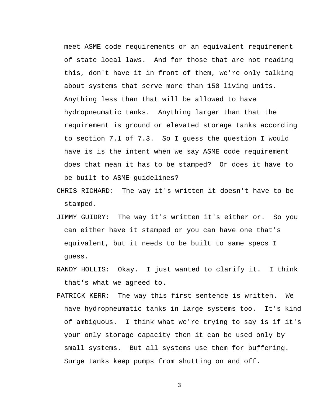meet ASME code requirements or an equivalent requirement of state local laws. And for those that are not reading this, don't have it in front of them, we're only talking about systems that serve more than 150 living units. Anything less than that will be allowed to have hydropneumatic tanks. Anything larger than that the requirement is ground or elevated storage tanks according to section 7.1 of 7.3. So I guess the question I would have is is the intent when we say ASME code requirement does that mean it has to be stamped? Or does it have to be built to ASME guidelines?

- CHRIS RICHARD: The way it's written it doesn't have to be stamped.
- JIMMY GUIDRY: The way it's written it's either or. So you can either have it stamped or you can have one that's equivalent, but it needs to be built to same specs I guess.
- RANDY HOLLIS: Okay. I just wanted to clarify it. I think that's what we agreed to.
- PATRICK KERR: The way this first sentence is written. We have hydropneumatic tanks in large systems too. It's kind of ambiguous. I think what we're trying to say is if it's your only storage capacity then it can be used only by small systems. But all systems use them for buffering. Surge tanks keep pumps from shutting on and off.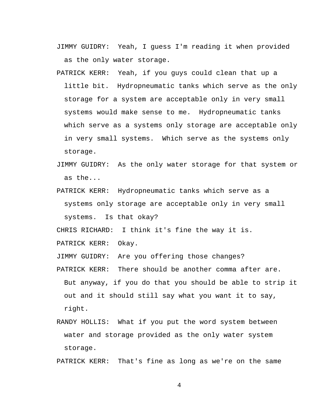- JIMMY GUIDRY: Yeah, I guess I'm reading it when provided as the only water storage.
- PATRICK KERR: Yeah, if you guys could clean that up a little bit. Hydropneumatic tanks which serve as the only storage for a system are acceptable only in very small systems would make sense to me. Hydropneumatic tanks which serve as a systems only storage are acceptable only in very small systems. Which serve as the systems only storage.
- JIMMY GUIDRY: As the only water storage for that system or as the...
- PATRICK KERR: Hydropneumatic tanks which serve as a systems only storage are acceptable only in very small systems. Is that okay?

CHRIS RICHARD: I think it's fine the way it is.

PATRICK KERR: Okay.

JIMMY GUIDRY: Are you offering those changes?

- PATRICK KERR: There should be another comma after are. But anyway, if you do that you should be able to strip it out and it should still say what you want it to say, right.
- RANDY HOLLIS: What if you put the word system between water and storage provided as the only water system storage.

PATRICK KERR: That's fine as long as we're on the same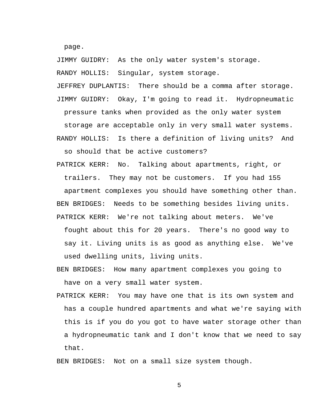page.

JIMMY GUIDRY: As the only water system's storage.

RANDY HOLLIS: Singular, system storage.

JEFFREY DUPLANTIS: There should be a comma after storage. JIMMY GUIDRY: Okay, I'm going to read it. Hydropneumatic pressure tanks when provided as the only water system storage are acceptable only in very small water systems. RANDY HOLLIS: Is there a definition of living units? And so should that be active customers?

PATRICK KERR: No. Talking about apartments, right, or trailers. They may not be customers. If you had 155 apartment complexes you should have something other than. BEN BRIDGES: Needs to be something besides living units. PATRICK KERR: We're not talking about meters. We've fought about this for 20 years. There's no good way to say it. Living units is as good as anything else. We've

used dwelling units, living units.

BEN BRIDGES: How many apartment complexes you going to have on a very small water system.

PATRICK KERR: You may have one that is its own system and has a couple hundred apartments and what we're saying with this is if you do you got to have water storage other than a hydropneumatic tank and I don't know that we need to say that.

BEN BRIDGES: Not on a small size system though.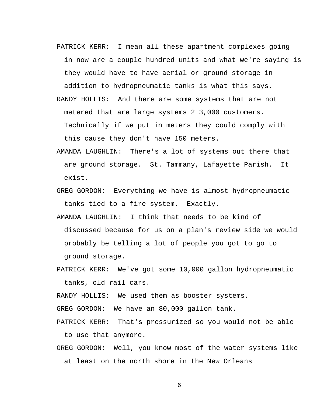PATRICK KERR: I mean all these apartment complexes going in now are a couple hundred units and what we're saying is they would have to have aerial or ground storage in addition to hydropneumatic tanks is what this says.

- RANDY HOLLIS: And there are some systems that are not metered that are large systems 2 3,000 customers. Technically if we put in meters they could comply with this cause they don't have 150 meters.
- AMANDA LAUGHLIN: There's a lot of systems out there that are ground storage. St. Tammany, Lafayette Parish. It exist.
- GREG GORDON: Everything we have is almost hydropneumatic tanks tied to a fire system. Exactly.
- AMANDA LAUGHLIN: I think that needs to be kind of discussed because for us on a plan's review side we would probably be telling a lot of people you got to go to ground storage.
- PATRICK KERR: We've got some 10,000 gallon hydropneumatic tanks, old rail cars.

RANDY HOLLIS: We used them as booster systems.

GREG GORDON: We have an 80,000 gallon tank.

PATRICK KERR: That's pressurized so you would not be able to use that anymore.

GREG GORDON: Well, you know most of the water systems like at least on the north shore in the New Orleans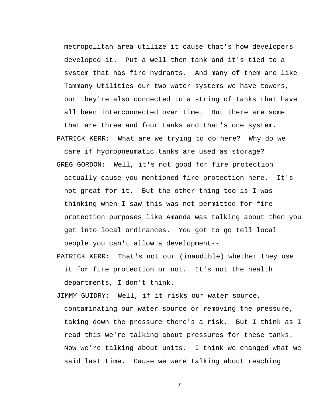metropolitan area utilize it cause that's how developers developed it. Put a well then tank and it's tied to a system that has fire hydrants. And many of them are like Tammany Utilities our two water systems we have towers, but they're also connected to a string of tanks that have all been interconnected over time. But there are some that are three and four tanks and that's one system. PATRICK KERR: What are we trying to do here? Why do we

care if hydropneumatic tanks are used as storage? GREG GORDON: Well, it's not good for fire protection actually cause you mentioned fire protection here. It's not great for it. But the other thing too is I was thinking when I saw this was not permitted for fire protection purposes like Amanda was talking about then you get into local ordinances. You got to go tell local people you can't allow a development--

PATRICK KERR: That's not our (inaudible) whether they use it for fire protection or not. It's not the health departments, I don't think.

JIMMY GUIDRY: Well, if it risks our water source, contaminating our water source or removing the pressure, taking down the pressure there's a risk. But I think as I read this we're talking about pressures for these tanks. Now we're talking about units. I think we changed what we said last time. Cause we were talking about reaching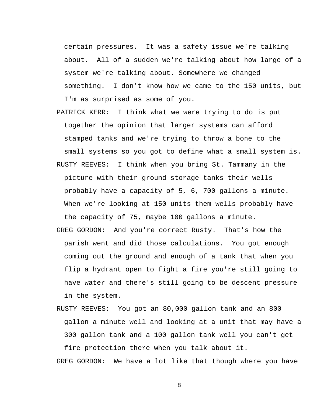certain pressures. It was a safety issue we're talking about. All of a sudden we're talking about how large of a system we're talking about. Somewhere we changed something. I don't know how we came to the 150 units, but I'm as surprised as some of you.

- PATRICK KERR: I think what we were trying to do is put together the opinion that larger systems can afford stamped tanks and we're trying to throw a bone to the small systems so you got to define what a small system is. RUSTY REEVES: I think when you bring St. Tammany in the picture with their ground storage tanks their wells probably have a capacity of 5, 6, 700 gallons a minute. When we're looking at 150 units them wells probably have the capacity of 75, maybe 100 gallons a minute. GREG GORDON: And you're correct Rusty. That's how the parish went and did those calculations. You got enough coming out the ground and enough of a tank that when you flip a hydrant open to fight a fire you're still going to have water and there's still going to be descent pressure
- RUSTY REEVES: You got an 80,000 gallon tank and an 800 gallon a minute well and looking at a unit that may have a 300 gallon tank and a 100 gallon tank well you can't get fire protection there when you talk about it.

in the system.

GREG GORDON: We have a lot like that though where you have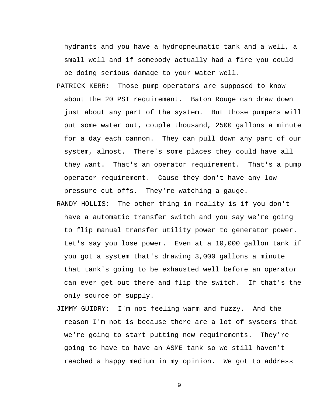hydrants and you have a hydropneumatic tank and a well, a small well and if somebody actually had a fire you could be doing serious damage to your water well.

- PATRICK KERR: Those pump operators are supposed to know about the 20 PSI requirement. Baton Rouge can draw down just about any part of the system. But those pumpers will put some water out, couple thousand, 2500 gallons a minute for a day each cannon. They can pull down any part of our system, almost. There's some places they could have all they want. That's an operator requirement. That's a pump operator requirement. Cause they don't have any low pressure cut offs. They're watching a gauge.
- RANDY HOLLIS: The other thing in reality is if you don't have a automatic transfer switch and you say we're going to flip manual transfer utility power to generator power. Let's say you lose power. Even at a 10,000 gallon tank if you got a system that's drawing 3,000 gallons a minute that tank's going to be exhausted well before an operator can ever get out there and flip the switch. If that's the only source of supply.
- JIMMY GUIDRY: I'm not feeling warm and fuzzy. And the reason I'm not is because there are a lot of systems that we're going to start putting new requirements. They're going to have to have an ASME tank so we still haven't reached a happy medium in my opinion. We got to address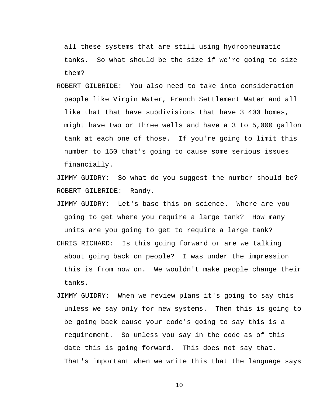all these systems that are still using hydropneumatic tanks. So what should be the size if we're going to size them?

ROBERT GILBRIDE: You also need to take into consideration people like Virgin Water, French Settlement Water and all like that that have subdivisions that have 3 400 homes, might have two or three wells and have a 3 to 5,000 gallon tank at each one of those. If you're going to limit this number to 150 that's going to cause some serious issues financially.

JIMMY GUIDRY: So what do you suggest the number should be? ROBERT GILBRIDE: Randy.

- JIMMY GUIDRY: Let's base this on science. Where are you going to get where you require a large tank? How many units are you going to get to require a large tank? CHRIS RICHARD: Is this going forward or are we talking about going back on people? I was under the impression this is from now on. We wouldn't make people change their tanks.
- JIMMY GUIDRY: When we review plans it's going to say this unless we say only for new systems. Then this is going to be going back cause your code's going to say this is a requirement. So unless you say in the code as of this date this is going forward. This does not say that. That's important when we write this that the language says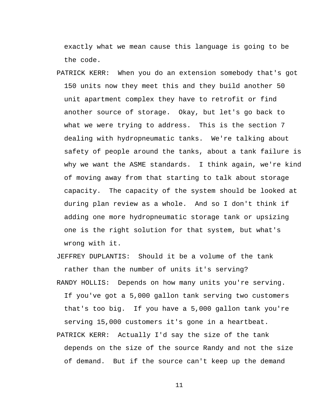exactly what we mean cause this language is going to be the code.

PATRICK KERR: When you do an extension somebody that's got 150 units now they meet this and they build another 50 unit apartment complex they have to retrofit or find another source of storage. Okay, but let's go back to what we were trying to address. This is the section 7 dealing with hydropneumatic tanks. We're talking about safety of people around the tanks, about a tank failure is why we want the ASME standards. I think again, we're kind of moving away from that starting to talk about storage capacity. The capacity of the system should be looked at during plan review as a whole. And so I don't think if adding one more hydropneumatic storage tank or upsizing one is the right solution for that system, but what's wrong with it.

JEFFREY DUPLANTIS: Should it be a volume of the tank rather than the number of units it's serving?

- RANDY HOLLIS: Depends on how many units you're serving. If you've got a 5,000 gallon tank serving two customers that's too big. If you have a 5,000 gallon tank you're serving 15,000 customers it's gone in a heartbeat.
- PATRICK KERR: Actually I'd say the size of the tank depends on the size of the source Randy and not the size of demand. But if the source can't keep up the demand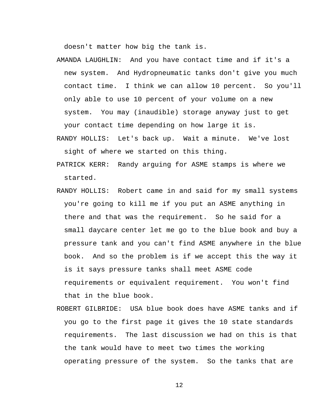doesn't matter how big the tank is.

- AMANDA LAUGHLIN: And you have contact time and if it's a new system. And Hydropneumatic tanks don't give you much contact time. I think we can allow 10 percent. So you'll only able to use 10 percent of your volume on a new system. You may (inaudible) storage anyway just to get your contact time depending on how large it is.
- RANDY HOLLIS: Let's back up. Wait a minute. We've lost sight of where we started on this thing.
- PATRICK KERR: Randy arguing for ASME stamps is where we started.
- RANDY HOLLIS: Robert came in and said for my small systems you're going to kill me if you put an ASME anything in there and that was the requirement. So he said for a small daycare center let me go to the blue book and buy a pressure tank and you can't find ASME anywhere in the blue book. And so the problem is if we accept this the way it is it says pressure tanks shall meet ASME code requirements or equivalent requirement. You won't find that in the blue book.
- ROBERT GILBRIDE: USA blue book does have ASME tanks and if you go to the first page it gives the 10 state standards requirements. The last discussion we had on this is that the tank would have to meet two times the working operating pressure of the system. So the tanks that are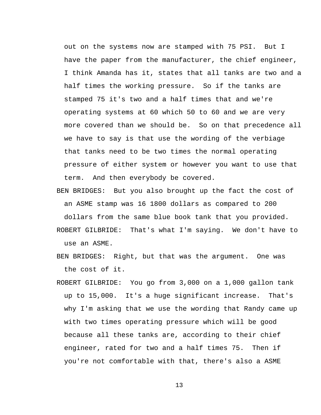out on the systems now are stamped with 75 PSI. But I have the paper from the manufacturer, the chief engineer, I think Amanda has it, states that all tanks are two and a half times the working pressure. So if the tanks are stamped 75 it's two and a half times that and we're operating systems at 60 which 50 to 60 and we are very more covered than we should be. So on that precedence all we have to say is that use the wording of the verbiage that tanks need to be two times the normal operating pressure of either system or however you want to use that term. And then everybody be covered.

BEN BRIDGES: But you also brought up the fact the cost of an ASME stamp was 16 1800 dollars as compared to 200

dollars from the same blue book tank that you provided.

- ROBERT GILBRIDE: That's what I'm saying. We don't have to use an ASME.
- BEN BRIDGES: Right, but that was the argument. One was the cost of it.
- ROBERT GILBRIDE: You go from 3,000 on a 1,000 gallon tank up to 15,000. It's a huge significant increase. That's why I'm asking that we use the wording that Randy came up with two times operating pressure which will be good because all these tanks are, according to their chief engineer, rated for two and a half times 75. Then if you're not comfortable with that, there's also a ASME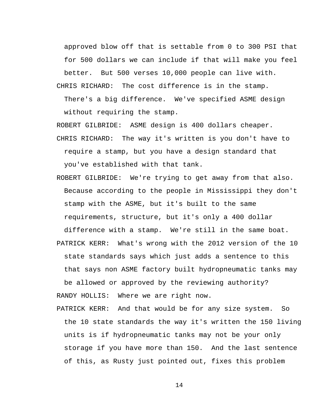approved blow off that is settable from 0 to 300 PSI that for 500 dollars we can include if that will make you feel

better. But 500 verses 10,000 people can live with.

CHRIS RICHARD: The cost difference is in the stamp.

There's a big difference. We've specified ASME design without requiring the stamp.

ROBERT GILBRIDE: ASME design is 400 dollars cheaper.

CHRIS RICHARD: The way it's written is you don't have to require a stamp, but you have a design standard that you've established with that tank.

ROBERT GILBRIDE: We're trying to get away from that also. Because according to the people in Mississippi they don't stamp with the ASME, but it's built to the same requirements, structure, but it's only a 400 dollar

difference with a stamp. We're still in the same boat.

PATRICK KERR: What's wrong with the 2012 version of the 10 state standards says which just adds a sentence to this that says non ASME factory built hydropneumatic tanks may be allowed or approved by the reviewing authority? RANDY HOLLIS: Where we are right now.

PATRICK KERR: And that would be for any size system. So the 10 state standards the way it's written the 150 living units is if hydropneumatic tanks may not be your only storage if you have more than 150. And the last sentence of this, as Rusty just pointed out, fixes this problem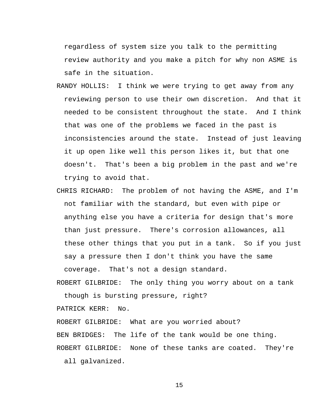regardless of system size you talk to the permitting review authority and you make a pitch for why non ASME is safe in the situation.

- RANDY HOLLIS: I think we were trying to get away from any reviewing person to use their own discretion. And that it needed to be consistent throughout the state. And I think that was one of the problems we faced in the past is inconsistencies around the state. Instead of just leaving it up open like well this person likes it, but that one doesn't. That's been a big problem in the past and we're trying to avoid that.
- CHRIS RICHARD: The problem of not having the ASME, and I'm not familiar with the standard, but even with pipe or anything else you have a criteria for design that's more than just pressure. There's corrosion allowances, all these other things that you put in a tank. So if you just say a pressure then I don't think you have the same coverage. That's not a design standard.

ROBERT GILBRIDE: The only thing you worry about on a tank though is bursting pressure, right?

PATRICK KERR: No.

ROBERT GILBRIDE: What are you worried about?

BEN BRIDGES: The life of the tank would be one thing.

ROBERT GILBRIDE: None of these tanks are coated. They're all galvanized.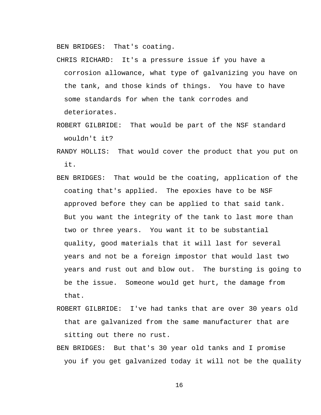BEN BRIDGES: That's coating.

- CHRIS RICHARD: It's a pressure issue if you have a corrosion allowance, what type of galvanizing you have on the tank, and those kinds of things. You have to have some standards for when the tank corrodes and deteriorates.
- ROBERT GILBRIDE: That would be part of the NSF standard wouldn't it?
- RANDY HOLLIS: That would cover the product that you put on it.
- BEN BRIDGES: That would be the coating, application of the coating that's applied. The epoxies have to be NSF approved before they can be applied to that said tank. But you want the integrity of the tank to last more than two or three years. You want it to be substantial quality, good materials that it will last for several years and not be a foreign impostor that would last two years and rust out and blow out. The bursting is going to be the issue. Someone would get hurt, the damage from that.
- ROBERT GILBRIDE: I've had tanks that are over 30 years old that are galvanized from the same manufacturer that are sitting out there no rust.
- BEN BRIDGES: But that's 30 year old tanks and I promise you if you get galvanized today it will not be the quality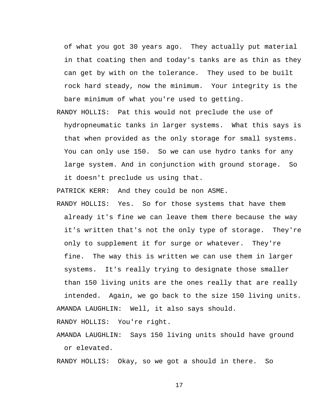of what you got 30 years ago. They actually put material in that coating then and today's tanks are as thin as they can get by with on the tolerance. They used to be built rock hard steady, now the minimum. Your integrity is the bare minimum of what you're used to getting.

RANDY HOLLIS: Pat this would not preclude the use of hydropneumatic tanks in larger systems. What this says is that when provided as the only storage for small systems. You can only use 150. So we can use hydro tanks for any large system. And in conjunction with ground storage. So it doesn't preclude us using that.

PATRICK KERR: And they could be non ASME.

RANDY HOLLIS: Yes. So for those systems that have them already it's fine we can leave them there because the way it's written that's not the only type of storage. They're only to supplement it for surge or whatever. They're fine. The way this is written we can use them in larger systems. It's really trying to designate those smaller than 150 living units are the ones really that are really intended. Again, we go back to the size 150 living units. AMANDA LAUGHLIN: Well, it also says should.

RANDY HOLLIS: You're right.

AMANDA LAUGHLIN: Says 150 living units should have ground or elevated.

RANDY HOLLIS: Okay, so we got a should in there. So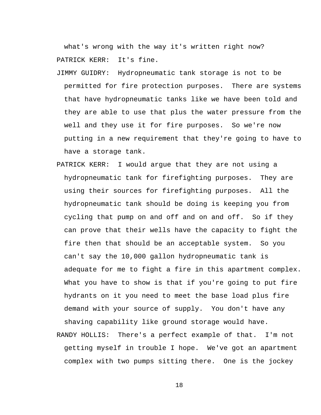what's wrong with the way it's written right now? PATRICK KERR: It's fine.

- JIMMY GUIDRY: Hydropneumatic tank storage is not to be permitted for fire protection purposes. There are systems that have hydropneumatic tanks like we have been told and they are able to use that plus the water pressure from the well and they use it for fire purposes. So we're now putting in a new requirement that they're going to have to have a storage tank.
- PATRICK KERR: I would argue that they are not using a hydropneumatic tank for firefighting purposes. They are using their sources for firefighting purposes. All the hydropneumatic tank should be doing is keeping you from cycling that pump on and off and on and off. So if they can prove that their wells have the capacity to fight the fire then that should be an acceptable system. So you can't say the 10,000 gallon hydropneumatic tank is adequate for me to fight a fire in this apartment complex. What you have to show is that if you're going to put fire hydrants on it you need to meet the base load plus fire demand with your source of supply. You don't have any shaving capability like ground storage would have.
- RANDY HOLLIS: There's a perfect example of that. I'm not getting myself in trouble I hope. We've got an apartment complex with two pumps sitting there. One is the jockey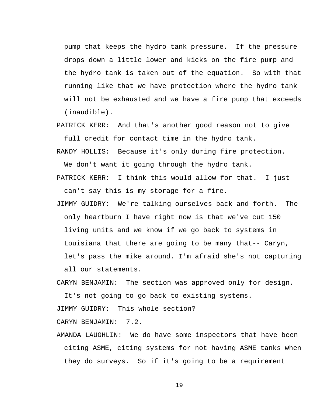pump that keeps the hydro tank pressure. If the pressure drops down a little lower and kicks on the fire pump and the hydro tank is taken out of the equation. So with that running like that we have protection where the hydro tank will not be exhausted and we have a fire pump that exceeds (inaudible).

PATRICK KERR: And that's another good reason not to give full credit for contact time in the hydro tank.

RANDY HOLLIS: Because it's only during fire protection.

We don't want it going through the hydro tank.

PATRICK KERR: I think this would allow for that. I just can't say this is my storage for a fire.

JIMMY GUIDRY: We're talking ourselves back and forth. The only heartburn I have right now is that we've cut 150 living units and we know if we go back to systems in Louisiana that there are going to be many that-- Caryn, let's pass the mike around. I'm afraid she's not capturing all our statements.

CARYN BENJAMIN: The section was approved only for design.

It's not going to go back to existing systems.

JIMMY GUIDRY: This whole section?

CARYN BENJAMIN: 7.2.

AMANDA LAUGHLIN: We do have some inspectors that have been citing ASME, citing systems for not having ASME tanks when they do surveys. So if it's going to be a requirement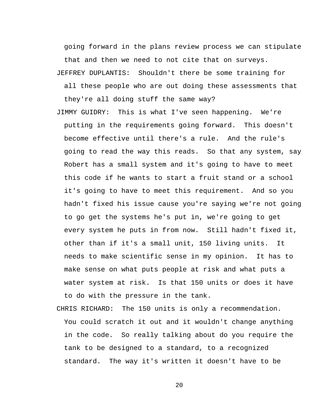going forward in the plans review process we can stipulate that and then we need to not cite that on surveys.

JEFFREY DUPLANTIS: Shouldn't there be some training for all these people who are out doing these assessments that they're all doing stuff the same way?

- JIMMY GUIDRY: This is what I've seen happening. We're putting in the requirements going forward. This doesn't become effective until there's a rule. And the rule's going to read the way this reads. So that any system, say Robert has a small system and it's going to have to meet this code if he wants to start a fruit stand or a school it's going to have to meet this requirement. And so you hadn't fixed his issue cause you're saying we're not going to go get the systems he's put in, we're going to get every system he puts in from now. Still hadn't fixed it, other than if it's a small unit, 150 living units. It needs to make scientific sense in my opinion. It has to make sense on what puts people at risk and what puts a water system at risk. Is that 150 units or does it have to do with the pressure in the tank.
- CHRIS RICHARD: The 150 units is only a recommendation. You could scratch it out and it wouldn't change anything in the code. So really talking about do you require the tank to be designed to a standard, to a recognized standard. The way it's written it doesn't have to be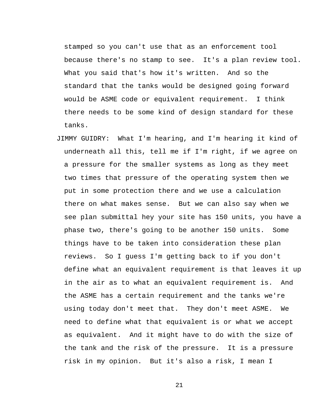stamped so you can't use that as an enforcement tool because there's no stamp to see. It's a plan review tool. What you said that's how it's written. And so the standard that the tanks would be designed going forward would be ASME code or equivalent requirement. I think there needs to be some kind of design standard for these tanks.

JIMMY GUIDRY: What I'm hearing, and I'm hearing it kind of underneath all this, tell me if I'm right, if we agree on a pressure for the smaller systems as long as they meet two times that pressure of the operating system then we put in some protection there and we use a calculation there on what makes sense. But we can also say when we see plan submittal hey your site has 150 units, you have a phase two, there's going to be another 150 units. Some things have to be taken into consideration these plan reviews. So I guess I'm getting back to if you don't define what an equivalent requirement is that leaves it up in the air as to what an equivalent requirement is. And the ASME has a certain requirement and the tanks we're using today don't meet that. They don't meet ASME. We need to define what that equivalent is or what we accept as equivalent. And it might have to do with the size of the tank and the risk of the pressure. It is a pressure risk in my opinion. But it's also a risk, I mean I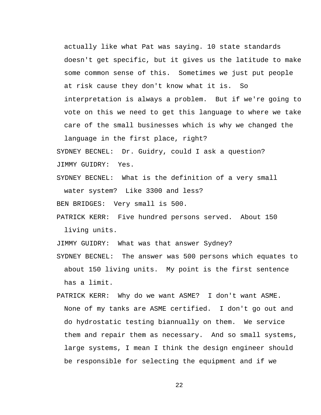actually like what Pat was saying. 10 state standards doesn't get specific, but it gives us the latitude to make some common sense of this. Sometimes we just put people at risk cause they don't know what it is. So interpretation is always a problem. But if we're going to vote on this we need to get this language to where we take care of the small businesses which is why we changed the

SYDNEY BECNEL: Dr. Guidry, could I ask a question? JIMMY GUIDRY: Yes.

SYDNEY BECNEL: What is the definition of a very small water system? Like 3300 and less?

BEN BRIDGES: Very small is 500.

language in the first place, right?

PATRICK KERR: Five hundred persons served. About 150 living units.

JIMMY GUIDRY: What was that answer Sydney?

SYDNEY BECNEL: The answer was 500 persons which equates to about 150 living units. My point is the first sentence has a limit.

PATRICK KERR: Why do we want ASME? I don't want ASME. None of my tanks are ASME certified. I don't go out and do hydrostatic testing biannually on them. We service them and repair them as necessary. And so small systems, large systems, I mean I think the design engineer should be responsible for selecting the equipment and if we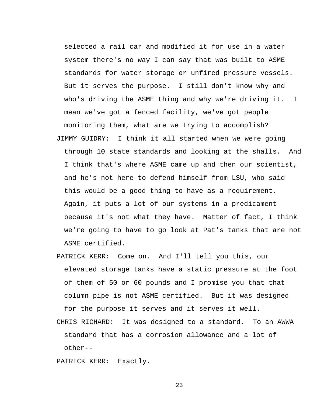selected a rail car and modified it for use in a water system there's no way I can say that was built to ASME standards for water storage or unfired pressure vessels. But it serves the purpose. I still don't know why and who's driving the ASME thing and why we're driving it. I mean we've got a fenced facility, we've got people monitoring them, what are we trying to accomplish? JIMMY GUIDRY: I think it all started when we were going through 10 state standards and looking at the shalls. And I think that's where ASME came up and then our scientist, and he's not here to defend himself from LSU, who said this would be a good thing to have as a requirement. Again, it puts a lot of our systems in a predicament because it's not what they have. Matter of fact, I think we're going to have to go look at Pat's tanks that are not ASME certified.

PATRICK KERR: Come on. And I'll tell you this, our elevated storage tanks have a static pressure at the foot of them of 50 or 60 pounds and I promise you that that column pipe is not ASME certified. But it was designed for the purpose it serves and it serves it well.

CHRIS RICHARD: It was designed to a standard. To an AWWA standard that has a corrosion allowance and a lot of other--

PATRICK KERR: Exactly.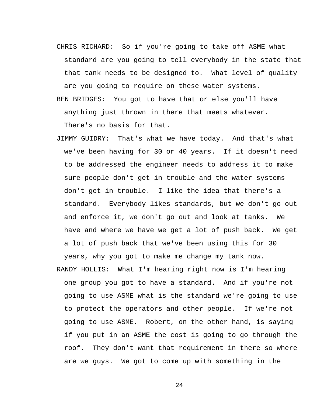- CHRIS RICHARD: So if you're going to take off ASME what standard are you going to tell everybody in the state that that tank needs to be designed to. What level of quality are you going to require on these water systems.
- BEN BRIDGES: You got to have that or else you'll have anything just thrown in there that meets whatever. There's no basis for that.
- JIMMY GUIDRY: That's what we have today. And that's what we've been having for 30 or 40 years. If it doesn't need to be addressed the engineer needs to address it to make sure people don't get in trouble and the water systems don't get in trouble. I like the idea that there's a standard. Everybody likes standards, but we don't go out and enforce it, we don't go out and look at tanks. We have and where we have we get a lot of push back. We get a lot of push back that we've been using this for 30 years, why you got to make me change my tank now.
- RANDY HOLLIS: What I'm hearing right now is I'm hearing one group you got to have a standard. And if you're not going to use ASME what is the standard we're going to use to protect the operators and other people. If we're not going to use ASME. Robert, on the other hand, is saying if you put in an ASME the cost is going to go through the roof. They don't want that requirement in there so where are we guys. We got to come up with something in the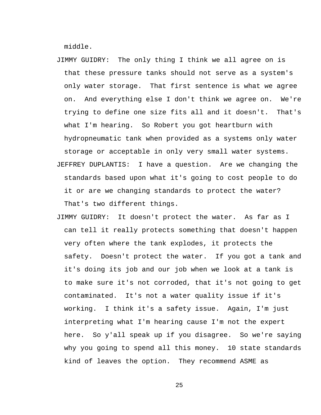middle.

- JIMMY GUIDRY: The only thing I think we all agree on is that these pressure tanks should not serve as a system's only water storage. That first sentence is what we agree on. And everything else I don't think we agree on. We're trying to define one size fits all and it doesn't. That's what I'm hearing. So Robert you got heartburn with hydropneumatic tank when provided as a systems only water storage or acceptable in only very small water systems. JEFFREY DUPLANTIS: I have a question. Are we changing the standards based upon what it's going to cost people to do it or are we changing standards to protect the water? That's two different things.
- JIMMY GUIDRY: It doesn't protect the water. As far as I can tell it really protects something that doesn't happen very often where the tank explodes, it protects the safety. Doesn't protect the water. If you got a tank and it's doing its job and our job when we look at a tank is to make sure it's not corroded, that it's not going to get contaminated. It's not a water quality issue if it's working. I think it's a safety issue. Again, I'm just interpreting what I'm hearing cause I'm not the expert here. So y'all speak up if you disagree. So we're saying why you going to spend all this money. 10 state standards kind of leaves the option. They recommend ASME as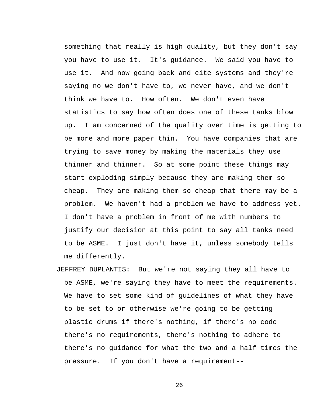something that really is high quality, but they don't say you have to use it. It's guidance. We said you have to use it. And now going back and cite systems and they're saying no we don't have to, we never have, and we don't think we have to. How often. We don't even have statistics to say how often does one of these tanks blow up. I am concerned of the quality over time is getting to be more and more paper thin. You have companies that are trying to save money by making the materials they use thinner and thinner. So at some point these things may start exploding simply because they are making them so cheap. They are making them so cheap that there may be a problem. We haven't had a problem we have to address yet. I don't have a problem in front of me with numbers to justify our decision at this point to say all tanks need to be ASME. I just don't have it, unless somebody tells me differently.

JEFFREY DUPLANTIS: But we're not saying they all have to be ASME, we're saying they have to meet the requirements. We have to set some kind of guidelines of what they have to be set to or otherwise we're going to be getting plastic drums if there's nothing, if there's no code there's no requirements, there's nothing to adhere to there's no guidance for what the two and a half times the pressure. If you don't have a requirement--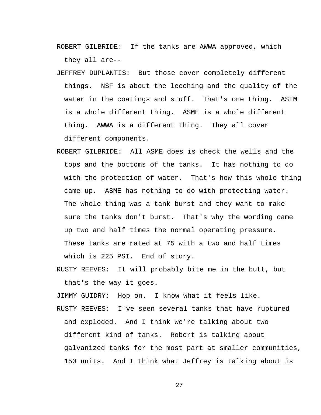ROBERT GILBRIDE: If the tanks are AWWA approved, which they all are--

JEFFREY DUPLANTIS: But those cover completely different things. NSF is about the leeching and the quality of the water in the coatings and stuff. That's one thing. ASTM is a whole different thing. ASME is a whole different thing. AWWA is a different thing. They all cover

different components.

ROBERT GILBRIDE: All ASME does is check the wells and the tops and the bottoms of the tanks. It has nothing to do with the protection of water. That's how this whole thing came up. ASME has nothing to do with protecting water. The whole thing was a tank burst and they want to make sure the tanks don't burst. That's why the wording came up two and half times the normal operating pressure. These tanks are rated at 75 with a two and half times which is 225 PSI. End of story.

RUSTY REEVES: It will probably bite me in the butt, but that's the way it goes.

JIMMY GUIDRY: Hop on. I know what it feels like. RUSTY REEVES: I've seen several tanks that have ruptured and exploded. And I think we're talking about two different kind of tanks. Robert is talking about galvanized tanks for the most part at smaller communities, 150 units. And I think what Jeffrey is talking about is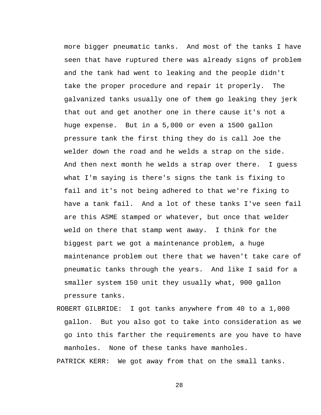more bigger pneumatic tanks. And most of the tanks I have seen that have ruptured there was already signs of problem and the tank had went to leaking and the people didn't take the proper procedure and repair it properly. The galvanized tanks usually one of them go leaking they jerk that out and get another one in there cause it's not a huge expense. But in a 5,000 or even a 1500 gallon pressure tank the first thing they do is call Joe the welder down the road and he welds a strap on the side. And then next month he welds a strap over there. I guess what I'm saying is there's signs the tank is fixing to fail and it's not being adhered to that we're fixing to have a tank fail. And a lot of these tanks I've seen fail are this ASME stamped or whatever, but once that welder weld on there that stamp went away. I think for the biggest part we got a maintenance problem, a huge maintenance problem out there that we haven't take care of pneumatic tanks through the years. And like I said for a smaller system 150 unit they usually what, 900 gallon pressure tanks.

ROBERT GILBRIDE: I got tanks anywhere from 40 to a 1,000 gallon. But you also got to take into consideration as we go into this farther the requirements are you have to have manholes. None of these tanks have manholes.

PATRICK KERR: We got away from that on the small tanks.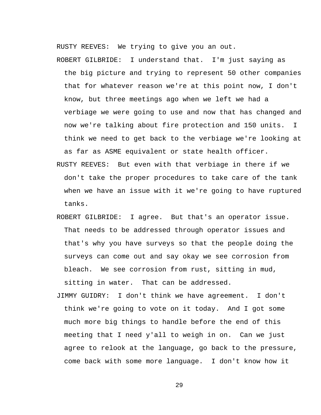RUSTY REEVES: We trying to give you an out.

ROBERT GILBRIDE: I understand that. I'm just saying as the big picture and trying to represent 50 other companies that for whatever reason we're at this point now, I don't know, but three meetings ago when we left we had a verbiage we were going to use and now that has changed and now we're talking about fire protection and 150 units. I think we need to get back to the verbiage we're looking at as far as ASME equivalent or state health officer.

- RUSTY REEVES: But even with that verbiage in there if we don't take the proper procedures to take care of the tank when we have an issue with it we're going to have ruptured tanks.
- ROBERT GILBRIDE: I agree. But that's an operator issue. That needs to be addressed through operator issues and that's why you have surveys so that the people doing the surveys can come out and say okay we see corrosion from bleach. We see corrosion from rust, sitting in mud, sitting in water. That can be addressed.
- JIMMY GUIDRY: I don't think we have agreement. I don't think we're going to vote on it today. And I got some much more big things to handle before the end of this meeting that I need y'all to weigh in on. Can we just agree to relook at the language, go back to the pressure, come back with some more language. I don't know how it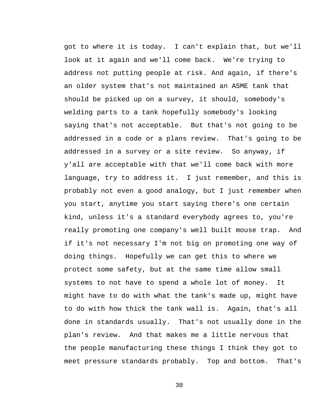got to where it is today. I can't explain that, but we'll look at it again and we'll come back. We're trying to address not putting people at risk. And again, if there's an older system that's not maintained an ASME tank that should be picked up on a survey, it should, somebody's welding parts to a tank hopefully somebody's looking saying that's not acceptable. But that's not going to be addressed in a code or a plans review. That's going to be addressed in a survey or a site review. So anyway, if y'all are acceptable with that we'll come back with more language, try to address it. I just remember, and this is probably not even a good analogy, but I just remember when you start, anytime you start saying there's one certain kind, unless it's a standard everybody agrees to, you're really promoting one company's well built mouse trap. And if it's not necessary I'm not big on promoting one way of doing things. Hopefully we can get this to where we protect some safety, but at the same time allow small systems to not have to spend a whole lot of money. It might have to do with what the tank's made up, might have to do with how thick the tank wall is. Again, that's all done in standards usually. That's not usually done in the plan's review. And that makes me a little nervous that the people manufacturing these things I think they got to meet pressure standards probably. Top and bottom. That's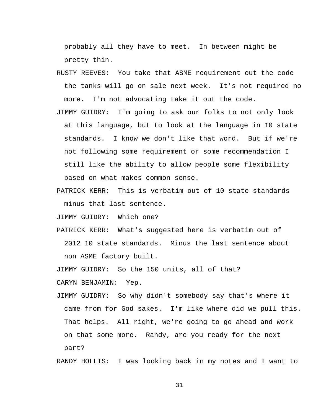probably all they have to meet. In between might be pretty thin.

- RUSTY REEVES: You take that ASME requirement out the code the tanks will go on sale next week. It's not required no more. I'm not advocating take it out the code.
- JIMMY GUIDRY: I'm going to ask our folks to not only look at this language, but to look at the language in 10 state standards. I know we don't like that word. But if we're not following some requirement or some recommendation I still like the ability to allow people some flexibility based on what makes common sense.
- PATRICK KERR: This is verbatim out of 10 state standards minus that last sentence.

JIMMY GUIDRY: Which one?

PATRICK KERR: What's suggested here is verbatim out of 2012 10 state standards. Minus the last sentence about non ASME factory built.

JIMMY GUIDRY: So the 150 units, all of that?

CARYN BENJAMIN: Yep.

JIMMY GUIDRY: So why didn't somebody say that's where it came from for God sakes. I'm like where did we pull this. That helps. All right, we're going to go ahead and work on that some more. Randy, are you ready for the next part?

RANDY HOLLIS: I was looking back in my notes and I want to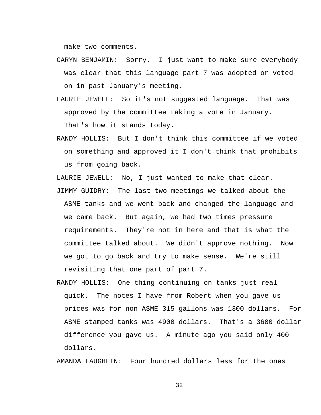make two comments.

- CARYN BENJAMIN: Sorry. I just want to make sure everybody was clear that this language part 7 was adopted or voted on in past January's meeting.
- LAURIE JEWELL: So it's not suggested language. That was approved by the committee taking a vote in January. That's how it stands today.
- RANDY HOLLIS: But I don't think this committee if we voted on something and approved it I don't think that prohibits us from going back.

LAURIE JEWELL: No, I just wanted to make that clear.

- JIMMY GUIDRY: The last two meetings we talked about the ASME tanks and we went back and changed the language and we came back. But again, we had two times pressure requirements. They're not in here and that is what the committee talked about. We didn't approve nothing. Now we got to go back and try to make sense. We're still revisiting that one part of part 7.
- RANDY HOLLIS: One thing continuing on tanks just real quick. The notes I have from Robert when you gave us prices was for non ASME 315 gallons was 1300 dollars. For ASME stamped tanks was 4900 dollars. That's a 3600 dollar difference you gave us. A minute ago you said only 400 dollars.

AMANDA LAUGHLIN: Four hundred dollars less for the ones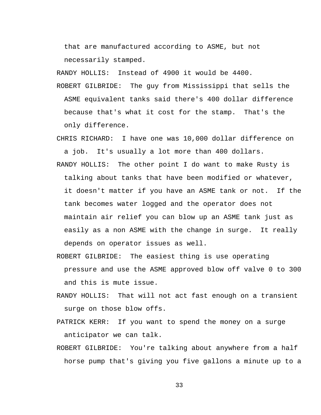that are manufactured according to ASME, but not necessarily stamped.

RANDY HOLLIS: Instead of 4900 it would be 4400.

ROBERT GILBRIDE: The guy from Mississippi that sells the ASME equivalent tanks said there's 400 dollar difference because that's what it cost for the stamp. That's the only difference.

CHRIS RICHARD: I have one was 10,000 dollar difference on a job. It's usually a lot more than 400 dollars.

RANDY HOLLIS: The other point I do want to make Rusty is talking about tanks that have been modified or whatever, it doesn't matter if you have an ASME tank or not. If the tank becomes water logged and the operator does not maintain air relief you can blow up an ASME tank just as easily as a non ASME with the change in surge. It really depends on operator issues as well.

- ROBERT GILBRIDE: The easiest thing is use operating pressure and use the ASME approved blow off valve 0 to 300 and this is mute issue.
- RANDY HOLLIS: That will not act fast enough on a transient surge on those blow offs.
- PATRICK KERR: If you want to spend the money on a surge anticipator we can talk.
- ROBERT GILBRIDE: You're talking about anywhere from a half horse pump that's giving you five gallons a minute up to a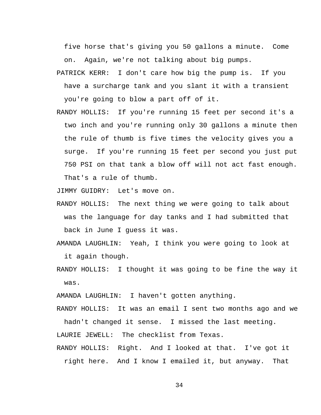five horse that's giving you 50 gallons a minute. Come on. Again, we're not talking about big pumps.

- PATRICK KERR: I don't care how big the pump is. If you have a surcharge tank and you slant it with a transient you're going to blow a part off of it.
- RANDY HOLLIS: If you're running 15 feet per second it's a two inch and you're running only 30 gallons a minute then the rule of thumb is five times the velocity gives you a surge. If you're running 15 feet per second you just put 750 PSI on that tank a blow off will not act fast enough. That's a rule of thumb.

JIMMY GUIDRY: Let's move on.

- RANDY HOLLIS: The next thing we were going to talk about was the language for day tanks and I had submitted that back in June I guess it was.
- AMANDA LAUGHLIN: Yeah, I think you were going to look at it again though.
- RANDY HOLLIS: I thought it was going to be fine the way it was.

AMANDA LAUGHLIN: I haven't gotten anything.

RANDY HOLLIS: It was an email I sent two months ago and we hadn't changed it sense. I missed the last meeting.

LAURIE JEWELL: The checklist from Texas.

RANDY HOLLIS: Right. And I looked at that. I've got it right here. And I know I emailed it, but anyway. That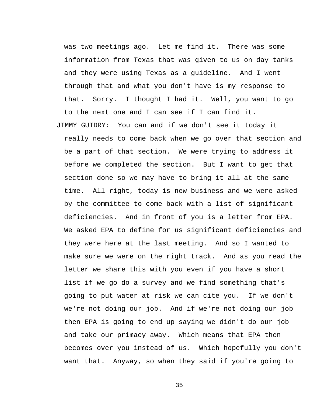was two meetings ago. Let me find it. There was some information from Texas that was given to us on day tanks and they were using Texas as a guideline. And I went through that and what you don't have is my response to that. Sorry. I thought I had it. Well, you want to go to the next one and I can see if I can find it.

JIMMY GUIDRY: You can and if we don't see it today it really needs to come back when we go over that section and be a part of that section. We were trying to address it before we completed the section. But I want to get that section done so we may have to bring it all at the same time. All right, today is new business and we were asked by the committee to come back with a list of significant deficiencies. And in front of you is a letter from EPA. We asked EPA to define for us significant deficiencies and they were here at the last meeting. And so I wanted to make sure we were on the right track. And as you read the letter we share this with you even if you have a short list if we go do a survey and we find something that's going to put water at risk we can cite you. If we don't we're not doing our job. And if we're not doing our job then EPA is going to end up saying we didn't do our job and take our primacy away. Which means that EPA then becomes over you instead of us. Which hopefully you don't want that. Anyway, so when they said if you're going to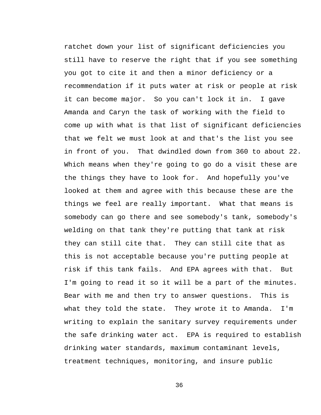ratchet down your list of significant deficiencies you still have to reserve the right that if you see something you got to cite it and then a minor deficiency or a recommendation if it puts water at risk or people at risk it can become major. So you can't lock it in. I gave Amanda and Caryn the task of working with the field to come up with what is that list of significant deficiencies that we felt we must look at and that's the list you see in front of you. That dwindled down from 360 to about 22. Which means when they're going to go do a visit these are the things they have to look for. And hopefully you've looked at them and agree with this because these are the things we feel are really important. What that means is somebody can go there and see somebody's tank, somebody's welding on that tank they're putting that tank at risk they can still cite that. They can still cite that as this is not acceptable because you're putting people at risk if this tank fails. And EPA agrees with that. But I'm going to read it so it will be a part of the minutes. Bear with me and then try to answer questions. This is what they told the state. They wrote it to Amanda. I'm writing to explain the sanitary survey requirements under the safe drinking water act. EPA is required to establish drinking water standards, maximum contaminant levels, treatment techniques, monitoring, and insure public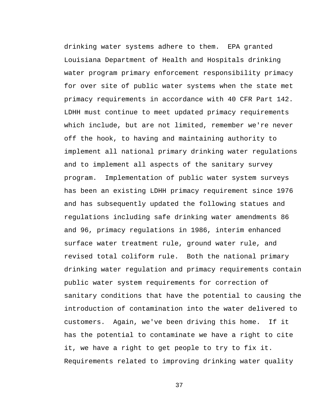drinking water systems adhere to them. EPA granted Louisiana Department of Health and Hospitals drinking water program primary enforcement responsibility primacy for over site of public water systems when the state met primacy requirements in accordance with 40 CFR Part 142. LDHH must continue to meet updated primacy requirements which include, but are not limited, remember we're never off the hook, to having and maintaining authority to implement all national primary drinking water regulations and to implement all aspects of the sanitary survey program. Implementation of public water system surveys has been an existing LDHH primacy requirement since 1976 and has subsequently updated the following statues and regulations including safe drinking water amendments 86 and 96, primacy regulations in 1986, interim enhanced surface water treatment rule, ground water rule, and revised total coliform rule. Both the national primary drinking water regulation and primacy requirements contain public water system requirements for correction of sanitary conditions that have the potential to causing the introduction of contamination into the water delivered to customers. Again, we've been driving this home. If it has the potential to contaminate we have a right to cite it, we have a right to get people to try to fix it. Requirements related to improving drinking water quality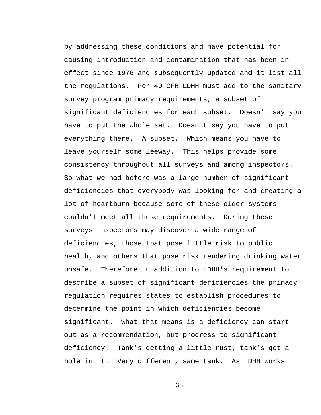by addressing these conditions and have potential for causing introduction and contamination that has been in effect since 1976 and subsequently updated and it list all the regulations. Per 40 CFR LDHH must add to the sanitary survey program primacy requirements, a subset of significant deficiencies for each subset. Doesn't say you have to put the whole set. Doesn't say you have to put everything there. A subset. Which means you have to leave yourself some leeway. This helps provide some consistency throughout all surveys and among inspectors. So what we had before was a large number of significant deficiencies that everybody was looking for and creating a lot of heartburn because some of these older systems couldn't meet all these requirements. During these surveys inspectors may discover a wide range of deficiencies, those that pose little risk to public health, and others that pose risk rendering drinking water unsafe. Therefore in addition to LDHH's requirement to describe a subset of significant deficiencies the primacy regulation requires states to establish procedures to determine the point in which deficiencies become significant. What that means is a deficiency can start out as a recommendation, but progress to significant deficiency. Tank's getting a little rust, tank's get a hole in it. Very different, same tank. As LDHH works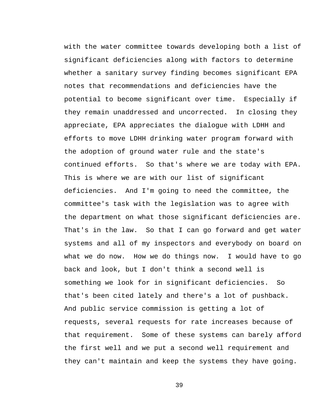with the water committee towards developing both a list of significant deficiencies along with factors to determine whether a sanitary survey finding becomes significant EPA notes that recommendations and deficiencies have the potential to become significant over time. Especially if they remain unaddressed and uncorrected. In closing they appreciate, EPA appreciates the dialogue with LDHH and efforts to move LDHH drinking water program forward with the adoption of ground water rule and the state's continued efforts. So that's where we are today with EPA. This is where we are with our list of significant deficiencies. And I'm going to need the committee, the committee's task with the legislation was to agree with the department on what those significant deficiencies are. That's in the law. So that I can go forward and get water systems and all of my inspectors and everybody on board on what we do now. How we do things now. I would have to go back and look, but I don't think a second well is something we look for in significant deficiencies. So that's been cited lately and there's a lot of pushback. And public service commission is getting a lot of requests, several requests for rate increases because of that requirement. Some of these systems can barely afford the first well and we put a second well requirement and they can't maintain and keep the systems they have going.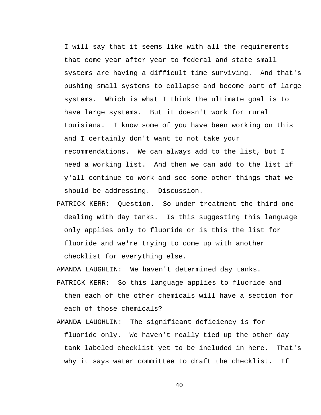I will say that it seems like with all the requirements that come year after year to federal and state small systems are having a difficult time surviving. And that's pushing small systems to collapse and become part of large systems. Which is what I think the ultimate goal is to have large systems. But it doesn't work for rural Louisiana. I know some of you have been working on this and I certainly don't want to not take your recommendations. We can always add to the list, but I need a working list. And then we can add to the list if y'all continue to work and see some other things that we should be addressing. Discussion.

PATRICK KERR: Question. So under treatment the third one dealing with day tanks. Is this suggesting this language only applies only to fluoride or is this the list for fluoride and we're trying to come up with another checklist for everything else.

AMANDA LAUGHLIN: We haven't determined day tanks.

- PATRICK KERR: So this language applies to fluoride and then each of the other chemicals will have a section for each of those chemicals?
- AMANDA LAUGHLIN: The significant deficiency is for fluoride only. We haven't really tied up the other day tank labeled checklist yet to be included in here. That's why it says water committee to draft the checklist. If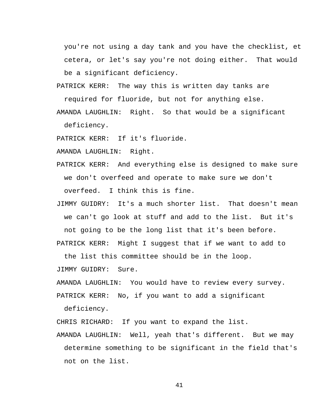you're not using a day tank and you have the checklist, et cetera, or let's say you're not doing either. That would be a significant deficiency.

PATRICK KERR: The way this is written day tanks are

required for fluoride, but not for anything else.

AMANDA LAUGHLIN: Right. So that would be a significant deficiency.

PATRICK KERR: If it's fluoride.

AMANDA LAUGHLIN: Right.

- PATRICK KERR: And everything else is designed to make sure we don't overfeed and operate to make sure we don't overfeed. I think this is fine.
- JIMMY GUIDRY: It's a much shorter list. That doesn't mean we can't go look at stuff and add to the list. But it's not going to be the long list that it's been before.

PATRICK KERR: Might I suggest that if we want to add to

the list this committee should be in the loop.

JIMMY GUIDRY: Sure.

AMANDA LAUGHLIN: You would have to review every survey.

PATRICK KERR: No, if you want to add a significant

deficiency.

CHRIS RICHARD: If you want to expand the list.

AMANDA LAUGHLIN: Well, yeah that's different. But we may determine something to be significant in the field that's not on the list.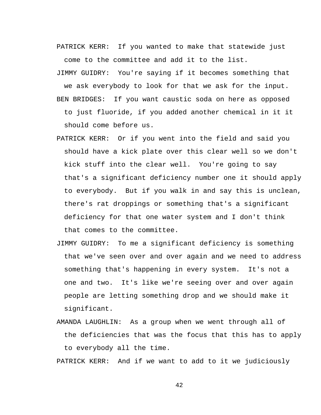PATRICK KERR: If you wanted to make that statewide just come to the committee and add it to the list.

JIMMY GUIDRY: You're saying if it becomes something that we ask everybody to look for that we ask for the input. BEN BRIDGES: If you want caustic soda on here as opposed to just fluoride, if you added another chemical in it it should come before us.

- PATRICK KERR: Or if you went into the field and said you should have a kick plate over this clear well so we don't kick stuff into the clear well. You're going to say that's a significant deficiency number one it should apply to everybody. But if you walk in and say this is unclean, there's rat droppings or something that's a significant deficiency for that one water system and I don't think that comes to the committee.
- JIMMY GUIDRY: To me a significant deficiency is something that we've seen over and over again and we need to address something that's happening in every system. It's not a one and two. It's like we're seeing over and over again people are letting something drop and we should make it significant.
- AMANDA LAUGHLIN: As a group when we went through all of the deficiencies that was the focus that this has to apply to everybody all the time.

PATRICK KERR: And if we want to add to it we judiciously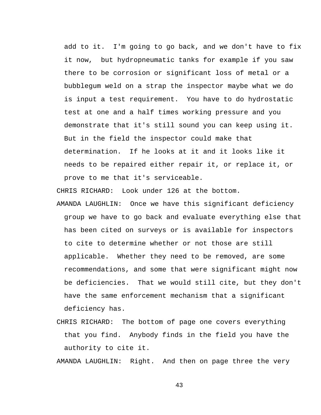add to it. I'm going to go back, and we don't have to fix it now, but hydropneumatic tanks for example if you saw there to be corrosion or significant loss of metal or a bubblegum weld on a strap the inspector maybe what we do is input a test requirement. You have to do hydrostatic test at one and a half times working pressure and you demonstrate that it's still sound you can keep using it. But in the field the inspector could make that determination. If he looks at it and it looks like it needs to be repaired either repair it, or replace it, or prove to me that it's serviceable.

CHRIS RICHARD: Look under 126 at the bottom.

- AMANDA LAUGHLIN: Once we have this significant deficiency group we have to go back and evaluate everything else that has been cited on surveys or is available for inspectors to cite to determine whether or not those are still applicable. Whether they need to be removed, are some recommendations, and some that were significant might now be deficiencies. That we would still cite, but they don't have the same enforcement mechanism that a significant deficiency has.
- CHRIS RICHARD: The bottom of page one covers everything that you find. Anybody finds in the field you have the authority to cite it.

AMANDA LAUGHLIN: Right. And then on page three the very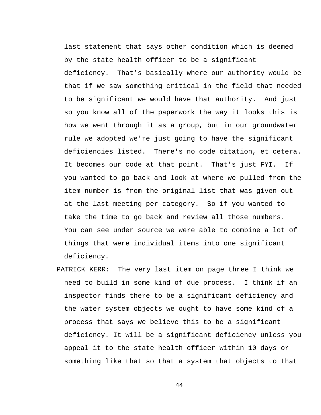last statement that says other condition which is deemed by the state health officer to be a significant deficiency. That's basically where our authority would be that if we saw something critical in the field that needed to be significant we would have that authority. And just so you know all of the paperwork the way it looks this is how we went through it as a group, but in our groundwater rule we adopted we're just going to have the significant deficiencies listed. There's no code citation, et cetera. It becomes our code at that point. That's just FYI. If you wanted to go back and look at where we pulled from the item number is from the original list that was given out at the last meeting per category. So if you wanted to take the time to go back and review all those numbers. You can see under source we were able to combine a lot of things that were individual items into one significant deficiency.

PATRICK KERR: The very last item on page three I think we need to build in some kind of due process. I think if an inspector finds there to be a significant deficiency and the water system objects we ought to have some kind of a process that says we believe this to be a significant deficiency. It will be a significant deficiency unless you appeal it to the state health officer within 10 days or something like that so that a system that objects to that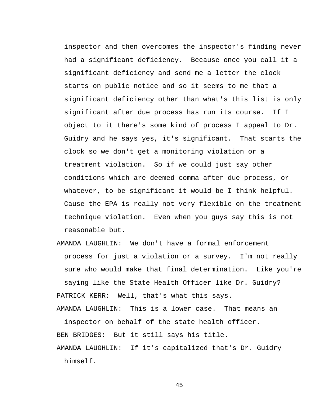inspector and then overcomes the inspector's finding never had a significant deficiency. Because once you call it a significant deficiency and send me a letter the clock starts on public notice and so it seems to me that a significant deficiency other than what's this list is only significant after due process has run its course. If I object to it there's some kind of process I appeal to Dr. Guidry and he says yes, it's significant. That starts the clock so we don't get a monitoring violation or a treatment violation. So if we could just say other conditions which are deemed comma after due process, or whatever, to be significant it would be I think helpful. Cause the EPA is really not very flexible on the treatment technique violation. Even when you guys say this is not reasonable but.

AMANDA LAUGHLIN: We don't have a formal enforcement process for just a violation or a survey. I'm not really sure who would make that final determination. Like you're saying like the State Health Officer like Dr. Guidry? PATRICK KERR: Well, that's what this says. AMANDA LAUGHLIN: This is a lower case. That means an

inspector on behalf of the state health officer. BEN BRIDGES: But it still says his title.

AMANDA LAUGHLIN: If it's capitalized that's Dr. Guidry himself.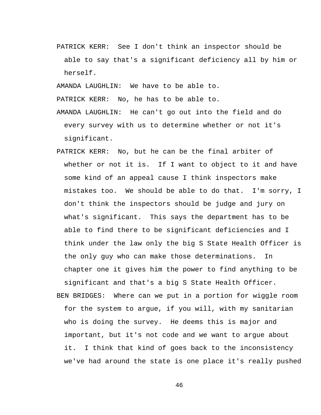PATRICK KERR: See I don't think an inspector should be able to say that's a significant deficiency all by him or herself.

AMANDA LAUGHLIN: We have to be able to.

PATRICK KERR: No, he has to be able to.

- AMANDA LAUGHLIN: He can't go out into the field and do every survey with us to determine whether or not it's significant.
- PATRICK KERR: No, but he can be the final arbiter of whether or not it is. If I want to object to it and have some kind of an appeal cause I think inspectors make mistakes too. We should be able to do that. I'm sorry, I don't think the inspectors should be judge and jury on what's significant. This says the department has to be able to find there to be significant deficiencies and I think under the law only the big S State Health Officer is the only guy who can make those determinations. In chapter one it gives him the power to find anything to be significant and that's a big S State Health Officer. BEN BRIDGES: Where can we put in a portion for wiggle room for the system to argue, if you will, with my sanitarian who is doing the survey. He deems this is major and important, but it's not code and we want to argue about

it. I think that kind of goes back to the inconsistency we've had around the state is one place it's really pushed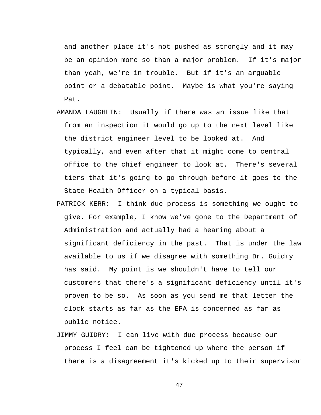and another place it's not pushed as strongly and it may be an opinion more so than a major problem. If it's major than yeah, we're in trouble. But if it's an arguable point or a debatable point. Maybe is what you're saying Pat.

- AMANDA LAUGHLIN: Usually if there was an issue like that from an inspection it would go up to the next level like the district engineer level to be looked at. And typically, and even after that it might come to central office to the chief engineer to look at. There's several tiers that it's going to go through before it goes to the State Health Officer on a typical basis.
- PATRICK KERR: I think due process is something we ought to give. For example, I know we've gone to the Department of Administration and actually had a hearing about a significant deficiency in the past. That is under the law available to us if we disagree with something Dr. Guidry has said. My point is we shouldn't have to tell our customers that there's a significant deficiency until it's proven to be so. As soon as you send me that letter the clock starts as far as the EPA is concerned as far as public notice.
- JIMMY GUIDRY: I can live with due process because our process I feel can be tightened up where the person if there is a disagreement it's kicked up to their supervisor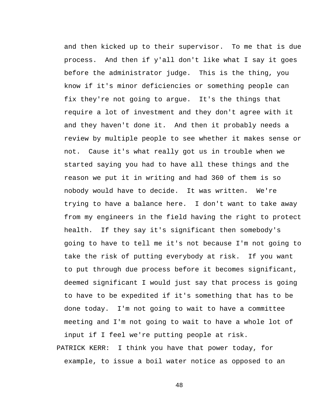and then kicked up to their supervisor. To me that is due process. And then if y'all don't like what I say it goes before the administrator judge. This is the thing, you know if it's minor deficiencies or something people can fix they're not going to argue. It's the things that require a lot of investment and they don't agree with it and they haven't done it. And then it probably needs a review by multiple people to see whether it makes sense or not. Cause it's what really got us in trouble when we started saying you had to have all these things and the reason we put it in writing and had 360 of them is so nobody would have to decide. It was written. We're trying to have a balance here. I don't want to take away from my engineers in the field having the right to protect health. If they say it's significant then somebody's going to have to tell me it's not because I'm not going to take the risk of putting everybody at risk. If you want to put through due process before it becomes significant, deemed significant I would just say that process is going to have to be expedited if it's something that has to be done today. I'm not going to wait to have a committee meeting and I'm not going to wait to have a whole lot of input if I feel we're putting people at risk.

PATRICK KERR: I think you have that power today, for example, to issue a boil water notice as opposed to an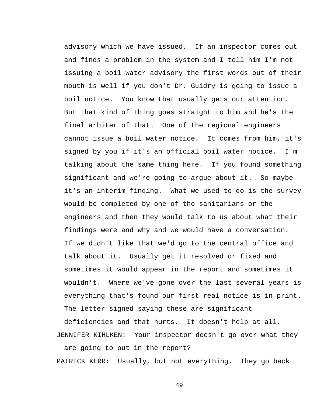advisory which we have issued. If an inspector comes out and finds a problem in the system and I tell him I'm not issuing a boil water advisory the first words out of their mouth is well if you don't Dr. Guidry is going to issue a boil notice. You know that usually gets our attention. But that kind of thing goes straight to him and he's the final arbiter of that. One of the regional engineers cannot issue a boil water notice. It comes from him, it's signed by you if it's an official boil water notice. I'm talking about the same thing here. If you found something significant and we're going to argue about it. So maybe it's an interim finding. What we used to do is the survey would be completed by one of the sanitarians or the engineers and then they would talk to us about what their findings were and why and we would have a conversation. If we didn't like that we'd go to the central office and talk about it. Usually get it resolved or fixed and sometimes it would appear in the report and sometimes it wouldn't. Where we've gone over the last several years is everything that's found our first real notice is in print. The letter signed saying these are significant

deficiencies and that hurts. It doesn't help at all. JENNIFER KIHLKEN: Your inspector doesn't go over what they are going to put in the report?

PATRICK KERR: Usually, but not everything. They go back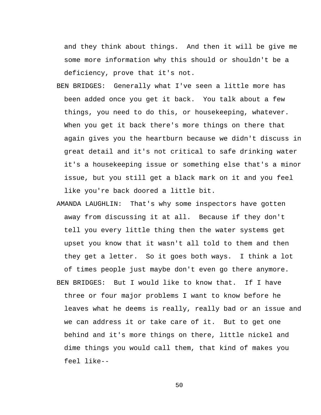and they think about things. And then it will be give me some more information why this should or shouldn't be a deficiency, prove that it's not.

- BEN BRIDGES: Generally what I've seen a little more has been added once you get it back. You talk about a few things, you need to do this, or housekeeping, whatever. When you get it back there's more things on there that again gives you the heartburn because we didn't discuss in great detail and it's not critical to safe drinking water it's a housekeeping issue or something else that's a minor issue, but you still get a black mark on it and you feel like you're back doored a little bit.
- AMANDA LAUGHLIN: That's why some inspectors have gotten away from discussing it at all. Because if they don't tell you every little thing then the water systems get upset you know that it wasn't all told to them and then they get a letter. So it goes both ways. I think a lot of times people just maybe don't even go there anymore. BEN BRIDGES: But I would like to know that. If I have three or four major problems I want to know before he leaves what he deems is really, really bad or an issue and we can address it or take care of it. But to get one behind and it's more things on there, little nickel and dime things you would call them, that kind of makes you feel like--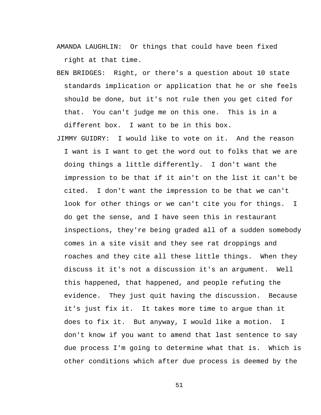AMANDA LAUGHLIN: Or things that could have been fixed right at that time.

BEN BRIDGES: Right, or there's a question about 10 state standards implication or application that he or she feels should be done, but it's not rule then you get cited for that. You can't judge me on this one. This is in a different box. I want to be in this box.

JIMMY GUIDRY: I would like to vote on it. And the reason I want is I want to get the word out to folks that we are doing things a little differently. I don't want the impression to be that if it ain't on the list it can't be cited. I don't want the impression to be that we can't look for other things or we can't cite you for things. I do get the sense, and I have seen this in restaurant inspections, they're being graded all of a sudden somebody comes in a site visit and they see rat droppings and roaches and they cite all these little things. When they discuss it it's not a discussion it's an argument. Well this happened, that happened, and people refuting the evidence. They just quit having the discussion. Because it's just fix it. It takes more time to argue than it does to fix it. But anyway, I would like a motion. I don't know if you want to amend that last sentence to say due process I'm going to determine what that is. Which is other conditions which after due process is deemed by the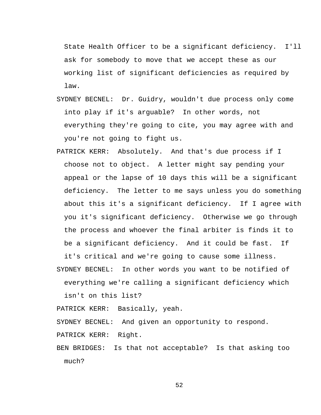State Health Officer to be a significant deficiency. I'll ask for somebody to move that we accept these as our working list of significant deficiencies as required by law.

- SYDNEY BECNEL: Dr. Guidry, wouldn't due process only come into play if it's arguable? In other words, not everything they're going to cite, you may agree with and you're not going to fight us.
- PATRICK KERR: Absolutely. And that's due process if I choose not to object. A letter might say pending your appeal or the lapse of 10 days this will be a significant deficiency. The letter to me says unless you do something about this it's a significant deficiency. If I agree with you it's significant deficiency. Otherwise we go through the process and whoever the final arbiter is finds it to be a significant deficiency. And it could be fast. If

it's critical and we're going to cause some illness. SYDNEY BECNEL: In other words you want to be notified of

everything we're calling a significant deficiency which isn't on this list?

PATRICK KERR: Basically, yeah.

SYDNEY BECNEL: And given an opportunity to respond. PATRICK KERR: Right.

BEN BRIDGES: Is that not acceptable? Is that asking too much?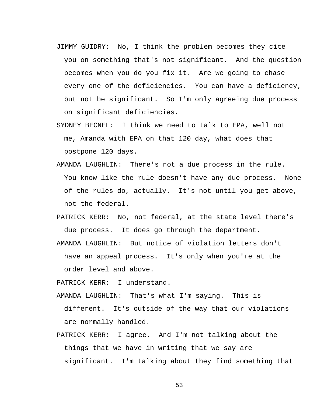- JIMMY GUIDRY: No, I think the problem becomes they cite you on something that's not significant. And the question becomes when you do you fix it. Are we going to chase every one of the deficiencies. You can have a deficiency, but not be significant. So I'm only agreeing due process on significant deficiencies.
- SYDNEY BECNEL: I think we need to talk to EPA, well not me, Amanda with EPA on that 120 day, what does that postpone 120 days.
- AMANDA LAUGHLIN: There's not a due process in the rule. You know like the rule doesn't have any due process. None of the rules do, actually. It's not until you get above, not the federal.
- PATRICK KERR: No, not federal, at the state level there's due process. It does go through the department.
- AMANDA LAUGHLIN: But notice of violation letters don't have an appeal process. It's only when you're at the order level and above.

PATRICK KERR: I understand.

- AMANDA LAUGHLIN: That's what I'm saying. This is different. It's outside of the way that our violations are normally handled.
- PATRICK KERR: I agree. And I'm not talking about the things that we have in writing that we say are significant. I'm talking about they find something that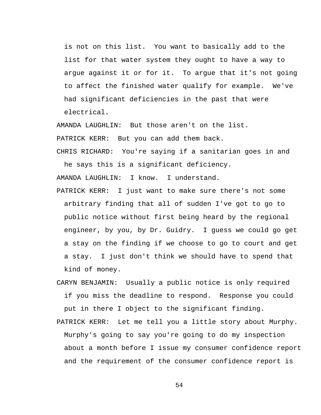is not on this list. You want to basically add to the list for that water system they ought to have a way to argue against it or for it. To argue that it's not going to affect the finished water qualify for example. We've had significant deficiencies in the past that were electrical.

AMANDA LAUGHLIN: But those aren't on the list. PATRICK KERR: But you can add them back.

CHRIS RICHARD: You're saying if a sanitarian goes in and he says this is a significant deficiency.

AMANDA LAUGHLIN: I know. I understand.

- PATRICK KERR: I just want to make sure there's not some arbitrary finding that all of sudden I've got to go to public notice without first being heard by the regional engineer, by you, by Dr. Guidry. I guess we could go get a stay on the finding if we choose to go to court and get a stay. I just don't think we should have to spend that kind of money.
- CARYN BENJAMIN: Usually a public notice is only required if you miss the deadline to respond. Response you could put in there I object to the significant finding.
- PATRICK KERR: Let me tell you a little story about Murphy. Murphy's going to say you're going to do my inspection about a month before I issue my consumer confidence report and the requirement of the consumer confidence report is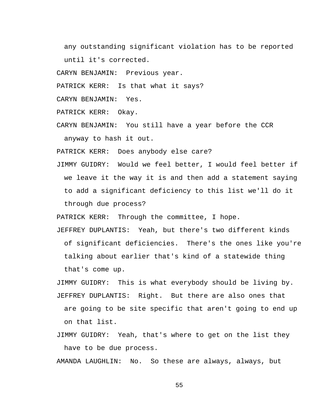any outstanding significant violation has to be reported until it's corrected.

CARYN BENJAMIN: Previous year.

PATRICK KERR: Is that what it says?

CARYN BENJAMIN: Yes.

PATRICK KERR: Okay.

CARYN BENJAMIN: You still have a year before the CCR anyway to hash it out.

PATRICK KERR: Does anybody else care?

JIMMY GUIDRY: Would we feel better, I would feel better if we leave it the way it is and then add a statement saying to add a significant deficiency to this list we'll do it through due process?

PATRICK KERR: Through the committee, I hope.

JEFFREY DUPLANTIS: Yeah, but there's two different kinds of significant deficiencies. There's the ones like you're talking about earlier that's kind of a statewide thing that's come up.

JIMMY GUIDRY: This is what everybody should be living by. JEFFREY DUPLANTIS: Right. But there are also ones that

are going to be site specific that aren't going to end up on that list.

JIMMY GUIDRY: Yeah, that's where to get on the list they have to be due process.

AMANDA LAUGHLIN: No. So these are always, always, but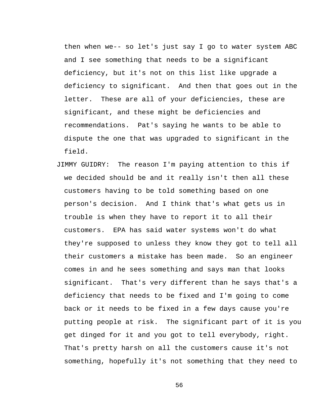then when we-- so let's just say I go to water system ABC and I see something that needs to be a significant deficiency, but it's not on this list like upgrade a deficiency to significant. And then that goes out in the letter. These are all of your deficiencies, these are significant, and these might be deficiencies and recommendations. Pat's saying he wants to be able to dispute the one that was upgraded to significant in the field.

JIMMY GUIDRY: The reason I'm paying attention to this if we decided should be and it really isn't then all these customers having to be told something based on one person's decision. And I think that's what gets us in trouble is when they have to report it to all their customers. EPA has said water systems won't do what they're supposed to unless they know they got to tell all their customers a mistake has been made. So an engineer comes in and he sees something and says man that looks significant. That's very different than he says that's a deficiency that needs to be fixed and I'm going to come back or it needs to be fixed in a few days cause you're putting people at risk. The significant part of it is you get dinged for it and you got to tell everybody, right. That's pretty harsh on all the customers cause it's not something, hopefully it's not something that they need to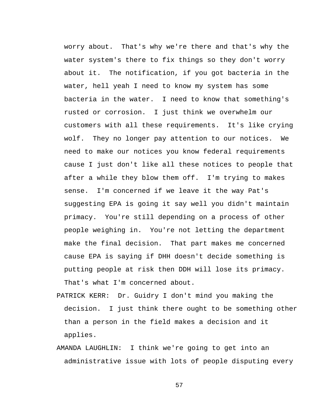worry about. That's why we're there and that's why the water system's there to fix things so they don't worry about it. The notification, if you got bacteria in the water, hell yeah I need to know my system has some bacteria in the water. I need to know that something's rusted or corrosion. I just think we overwhelm our customers with all these requirements. It's like crying wolf. They no longer pay attention to our notices. We need to make our notices you know federal requirements cause I just don't like all these notices to people that after a while they blow them off. I'm trying to makes sense. I'm concerned if we leave it the way Pat's suggesting EPA is going it say well you didn't maintain primacy. You're still depending on a process of other people weighing in. You're not letting the department make the final decision. That part makes me concerned cause EPA is saying if DHH doesn't decide something is putting people at risk then DDH will lose its primacy. That's what I'm concerned about.

- PATRICK KERR: Dr. Guidry I don't mind you making the decision. I just think there ought to be something other than a person in the field makes a decision and it applies.
- AMANDA LAUGHLIN: I think we're going to get into an administrative issue with lots of people disputing every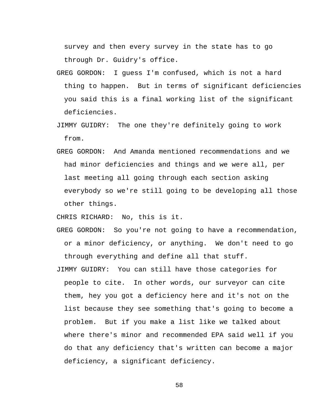survey and then every survey in the state has to go through Dr. Guidry's office.

- GREG GORDON: I guess I'm confused, which is not a hard thing to happen. But in terms of significant deficiencies you said this is a final working list of the significant deficiencies.
- JIMMY GUIDRY: The one they're definitely going to work from.
- GREG GORDON: And Amanda mentioned recommendations and we had minor deficiencies and things and we were all, per last meeting all going through each section asking everybody so we're still going to be developing all those other things.

CHRIS RICHARD: No, this is it.

- GREG GORDON: So you're not going to have a recommendation, or a minor deficiency, or anything. We don't need to go through everything and define all that stuff.
- JIMMY GUIDRY: You can still have those categories for people to cite. In other words, our surveyor can cite them, hey you got a deficiency here and it's not on the list because they see something that's going to become a problem. But if you make a list like we talked about where there's minor and recommended EPA said well if you do that any deficiency that's written can become a major deficiency, a significant deficiency.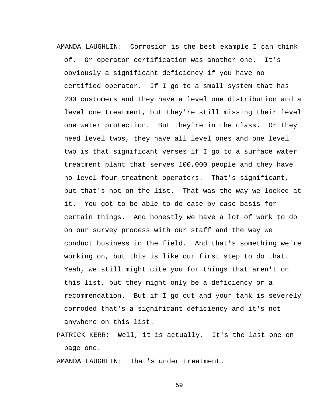AMANDA LAUGHLIN: Corrosion is the best example I can think of. Or operator certification was another one. It's obviously a significant deficiency if you have no certified operator. If I go to a small system that has 200 customers and they have a level one distribution and a level one treatment, but they're still missing their level one water protection. But they're in the class. Or they need level twos, they have all level ones and one level two is that significant verses if I go to a surface water treatment plant that serves 100,000 people and they have no level four treatment operators. That's significant, but that's not on the list. That was the way we looked at it. You got to be able to do case by case basis for certain things. And honestly we have a lot of work to do on our survey process with our staff and the way we conduct business in the field. And that's something we're working on, but this is like our first step to do that. Yeah, we still might cite you for things that aren't on this list, but they might only be a deficiency or a recommendation. But if I go out and your tank is severely corroded that's a significant deficiency and it's not anywhere on this list.

PATRICK KERR: Well, it is actually. It's the last one on page one.

AMANDA LAUGHLIN: That's under treatment.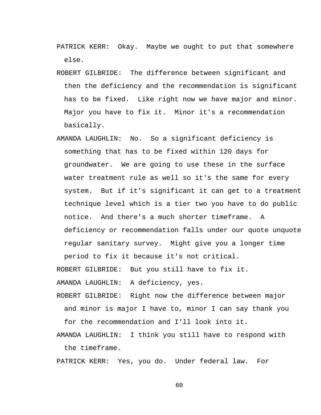- PATRICK KERR: Okay. Maybe we ought to put that somewhere else.
- ROBERT GILBRIDE: The difference between significant and then the deficiency and the recommendation is significant has to be fixed. Like right now we have major and minor. Major you have to fix it. Minor it's a recommendation basically.
- AMANDA LAUGHLIN: No. So a significant deficiency is something that has to be fixed within 120 days for groundwater. We are going to use these in the surface water treatment rule as well so it's the same for every system. But if it's significant it can get to a treatment technique level which is a tier two you have to do public notice. And there's a much shorter timeframe. A deficiency or recommendation falls under our quote unquote regular sanitary survey. Might give you a longer time period to fix it because it's not critical.

ROBERT GILBRIDE: But you still have to fix it.

AMANDA LAUGHLIN: A deficiency, yes.

ROBERT GILBRIDE: Right now the difference between major and minor is major I have to, minor I can say thank you for the recommendation and I'll look into it.

AMANDA LAUGHLIN: I think you still have to respond with the timeframe.

PATRICK KERR: Yes, you do. Under federal law. For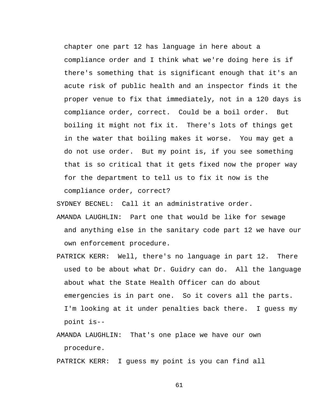chapter one part 12 has language in here about a compliance order and I think what we're doing here is if there's something that is significant enough that it's an acute risk of public health and an inspector finds it the proper venue to fix that immediately, not in a 120 days is compliance order, correct. Could be a boil order. But boiling it might not fix it. There's lots of things get in the water that boiling makes it worse. You may get a do not use order. But my point is, if you see something that is so critical that it gets fixed now the proper way for the department to tell us to fix it now is the compliance order, correct?

SYDNEY BECNEL: Call it an administrative order.

- AMANDA LAUGHLIN: Part one that would be like for sewage and anything else in the sanitary code part 12 we have our own enforcement procedure.
- PATRICK KERR: Well, there's no language in part 12. There used to be about what Dr. Guidry can do. All the language about what the State Health Officer can do about emergencies is in part one. So it covers all the parts. I'm looking at it under penalties back there. I guess my point is--
- AMANDA LAUGHLIN: That's one place we have our own procedure.

PATRICK KERR: I guess my point is you can find all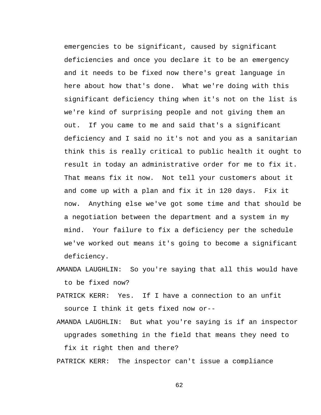emergencies to be significant, caused by significant deficiencies and once you declare it to be an emergency and it needs to be fixed now there's great language in here about how that's done. What we're doing with this significant deficiency thing when it's not on the list is we're kind of surprising people and not giving them an out. If you came to me and said that's a significant deficiency and I said no it's not and you as a sanitarian think this is really critical to public health it ought to result in today an administrative order for me to fix it. That means fix it now. Not tell your customers about it and come up with a plan and fix it in 120 days. Fix it now. Anything else we've got some time and that should be a negotiation between the department and a system in my mind. Your failure to fix a deficiency per the schedule we've worked out means it's going to become a significant deficiency.

- AMANDA LAUGHLIN: So you're saying that all this would have to be fixed now?
- PATRICK KERR: Yes. If I have a connection to an unfit source I think it gets fixed now or--

AMANDA LAUGHLIN: But what you're saying is if an inspector upgrades something in the field that means they need to fix it right then and there?

PATRICK KERR: The inspector can't issue a compliance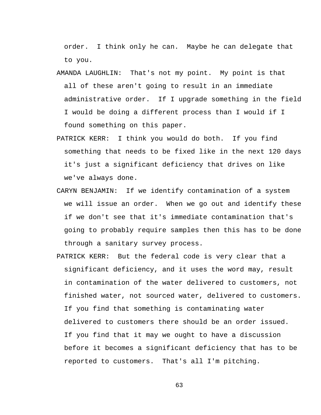order. I think only he can. Maybe he can delegate that to you.

- AMANDA LAUGHLIN: That's not my point. My point is that all of these aren't going to result in an immediate administrative order. If I upgrade something in the field I would be doing a different process than I would if I found something on this paper.
- PATRICK KERR: I think you would do both. If you find something that needs to be fixed like in the next 120 days it's just a significant deficiency that drives on like we've always done.
- CARYN BENJAMIN: If we identify contamination of a system we will issue an order. When we go out and identify these if we don't see that it's immediate contamination that's going to probably require samples then this has to be done through a sanitary survey process.
- PATRICK KERR: But the federal code is very clear that a significant deficiency, and it uses the word may, result in contamination of the water delivered to customers, not finished water, not sourced water, delivered to customers. If you find that something is contaminating water delivered to customers there should be an order issued. If you find that it may we ought to have a discussion before it becomes a significant deficiency that has to be reported to customers. That's all I'm pitching.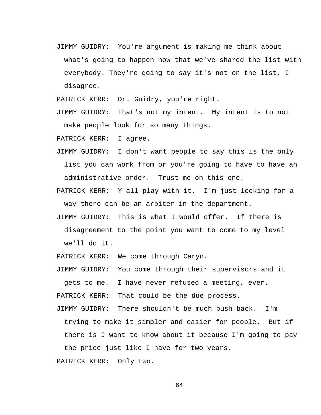JIMMY GUIDRY: You're argument is making me think about what's going to happen now that we've shared the list with everybody. They're going to say it's not on the list, I disagree.

PATRICK KERR: Dr. Guidry, you're right.

JIMMY GUIDRY: That's not my intent. My intent is to not make people look for so many things.

PATRICK KERR: I agree.

- JIMMY GUIDRY: I don't want people to say this is the only list you can work from or you're going to have to have an administrative order. Trust me on this one.
- PATRICK KERR: Y'all play with it. I'm just looking for a way there can be an arbiter in the department.
- JIMMY GUIDRY: This is what I would offer. If there is disagreement to the point you want to come to my level we'll do it.

PATRICK KERR: We come through Caryn.

JIMMY GUIDRY: You come through their supervisors and it gets to me. I have never refused a meeting, ever.

PATRICK KERR: That could be the due process.

JIMMY GUIDRY: There shouldn't be much push back. I'm trying to make it simpler and easier for people. But if there is I want to know about it because I'm going to pay the price just like I have for two years.

PATRICK KERR: Only two.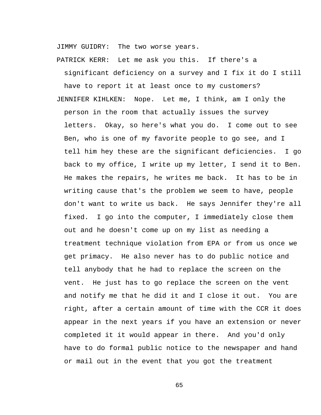JIMMY GUIDRY: The two worse years.

PATRICK KERR: Let me ask you this. If there's a

significant deficiency on a survey and I fix it do I still have to report it at least once to my customers? JENNIFER KIHLKEN: Nope. Let me, I think, am I only the person in the room that actually issues the survey letters. Okay, so here's what you do. I come out to see Ben, who is one of my favorite people to go see, and I tell him hey these are the significant deficiencies. I go back to my office, I write up my letter, I send it to Ben. He makes the repairs, he writes me back. It has to be in writing cause that's the problem we seem to have, people don't want to write us back. He says Jennifer they're all fixed. I go into the computer, I immediately close them out and he doesn't come up on my list as needing a treatment technique violation from EPA or from us once we get primacy. He also never has to do public notice and tell anybody that he had to replace the screen on the vent. He just has to go replace the screen on the vent and notify me that he did it and I close it out. You are right, after a certain amount of time with the CCR it does appear in the next years if you have an extension or never completed it it would appear in there. And you'd only have to do formal public notice to the newspaper and hand or mail out in the event that you got the treatment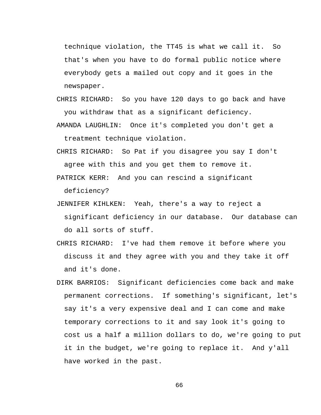technique violation, the TT45 is what we call it. So that's when you have to do formal public notice where everybody gets a mailed out copy and it goes in the newspaper.

- CHRIS RICHARD: So you have 120 days to go back and have you withdraw that as a significant deficiency.
- AMANDA LAUGHLIN: Once it's completed you don't get a treatment technique violation.
- CHRIS RICHARD: So Pat if you disagree you say I don't agree with this and you get them to remove it.
- PATRICK KERR: And you can rescind a significant deficiency?
- JENNIFER KIHLKEN: Yeah, there's a way to reject a significant deficiency in our database. Our database can do all sorts of stuff.
- CHRIS RICHARD: I've had them remove it before where you discuss it and they agree with you and they take it off and it's done.
- DIRK BARRIOS: Significant deficiencies come back and make permanent corrections. If something's significant, let's say it's a very expensive deal and I can come and make temporary corrections to it and say look it's going to cost us a half a million dollars to do, we're going to put it in the budget, we're going to replace it. And y'all have worked in the past.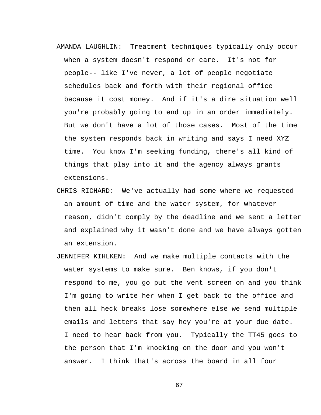- AMANDA LAUGHLIN: Treatment techniques typically only occur when a system doesn't respond or care. It's not for people-- like I've never, a lot of people negotiate schedules back and forth with their regional office because it cost money. And if it's a dire situation well you're probably going to end up in an order immediately. But we don't have a lot of those cases. Most of the time the system responds back in writing and says I need XYZ time. You know I'm seeking funding, there's all kind of things that play into it and the agency always grants extensions.
- CHRIS RICHARD: We've actually had some where we requested an amount of time and the water system, for whatever reason, didn't comply by the deadline and we sent a letter and explained why it wasn't done and we have always gotten an extension.
- JENNIFER KIHLKEN: And we make multiple contacts with the water systems to make sure. Ben knows, if you don't respond to me, you go put the vent screen on and you think I'm going to write her when I get back to the office and then all heck breaks lose somewhere else we send multiple emails and letters that say hey you're at your due date. I need to hear back from you. Typically the TT45 goes to the person that I'm knocking on the door and you won't answer. I think that's across the board in all four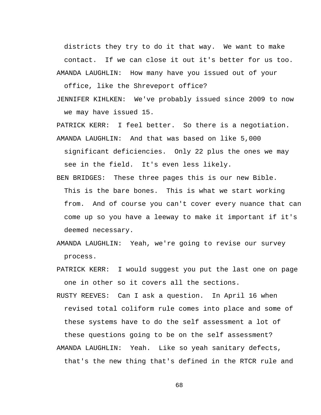districts they try to do it that way. We want to make contact. If we can close it out it's better for us too. AMANDA LAUGHLIN: How many have you issued out of your

office, like the Shreveport office?

JENNIFER KIHLKEN: We've probably issued since 2009 to now we may have issued 15.

PATRICK KERR: I feel better. So there is a negotiation.

- AMANDA LAUGHLIN: And that was based on like 5,000 significant deficiencies. Only 22 plus the ones we may see in the field. It's even less likely.
- BEN BRIDGES: These three pages this is our new Bible. This is the bare bones. This is what we start working from. And of course you can't cover every nuance that can come up so you have a leeway to make it important if it's deemed necessary.
- AMANDA LAUGHLIN: Yeah, we're going to revise our survey process.
- PATRICK KERR: I would suggest you put the last one on page one in other so it covers all the sections.
- RUSTY REEVES: Can I ask a question. In April 16 when revised total coliform rule comes into place and some of these systems have to do the self assessment a lot of these questions going to be on the self assessment?
- AMANDA LAUGHLIN: Yeah. Like so yeah sanitary defects, that's the new thing that's defined in the RTCR rule and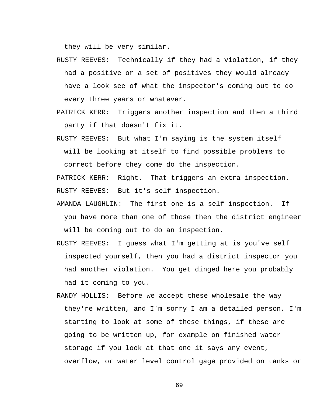they will be very similar.

- RUSTY REEVES: Technically if they had a violation, if they had a positive or a set of positives they would already have a look see of what the inspector's coming out to do every three years or whatever.
- PATRICK KERR: Triggers another inspection and then a third party if that doesn't fix it.
- RUSTY REEVES: But what I'm saying is the system itself will be looking at itself to find possible problems to correct before they come do the inspection.

PATRICK KERR: Right. That triggers an extra inspection. RUSTY REEVES: But it's self inspection.

- AMANDA LAUGHLIN: The first one is a self inspection. If you have more than one of those then the district engineer will be coming out to do an inspection.
- RUSTY REEVES: I guess what I'm getting at is you've self inspected yourself, then you had a district inspector you had another violation. You get dinged here you probably had it coming to you.
- RANDY HOLLIS: Before we accept these wholesale the way they're written, and I'm sorry I am a detailed person, I'm starting to look at some of these things, if these are going to be written up, for example on finished water storage if you look at that one it says any event, overflow, or water level control gage provided on tanks or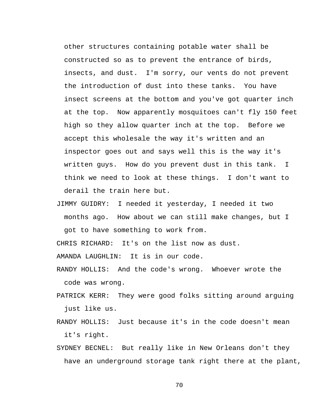other structures containing potable water shall be constructed so as to prevent the entrance of birds, insects, and dust. I'm sorry, our vents do not prevent the introduction of dust into these tanks. You have insect screens at the bottom and you've got quarter inch at the top. Now apparently mosquitoes can't fly 150 feet high so they allow quarter inch at the top. Before we accept this wholesale the way it's written and an inspector goes out and says well this is the way it's written guys. How do you prevent dust in this tank. I think we need to look at these things. I don't want to derail the train here but.

JIMMY GUIDRY: I needed it yesterday, I needed it two months ago. How about we can still make changes, but I got to have something to work from.

CHRIS RICHARD: It's on the list now as dust.

AMANDA LAUGHLIN: It is in our code.

- RANDY HOLLIS: And the code's wrong. Whoever wrote the code was wrong.
- PATRICK KERR: They were good folks sitting around arguing just like us.
- RANDY HOLLIS: Just because it's in the code doesn't mean it's right.
- SYDNEY BECNEL: But really like in New Orleans don't they have an underground storage tank right there at the plant,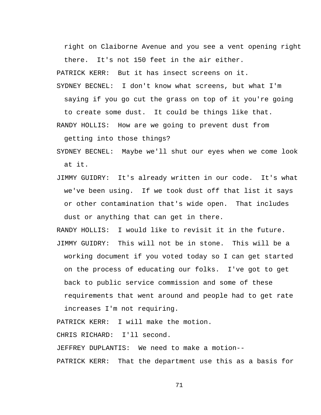right on Claiborne Avenue and you see a vent opening right there. It's not 150 feet in the air either.

PATRICK KERR: But it has insect screens on it.

SYDNEY BECNEL: I don't know what screens, but what I'm saying if you go cut the grass on top of it you're going to create some dust. It could be things like that.

RANDY HOLLIS: How are we going to prevent dust from

getting into those things?

SYDNEY BECNEL: Maybe we'll shut our eyes when we come look at it.

- JIMMY GUIDRY: It's already written in our code. It's what we've been using. If we took dust off that list it says or other contamination that's wide open. That includes dust or anything that can get in there.
- RANDY HOLLIS: I would like to revisit it in the future. JIMMY GUIDRY: This will not be in stone. This will be a working document if you voted today so I can get started on the process of educating our folks. I've got to get back to public service commission and some of these requirements that went around and people had to get rate increases I'm not requiring.

PATRICK KERR: I will make the motion.

CHRIS RICHARD: I'll second.

JEFFREY DUPLANTIS: We need to make a motion--

PATRICK KERR: That the department use this as a basis for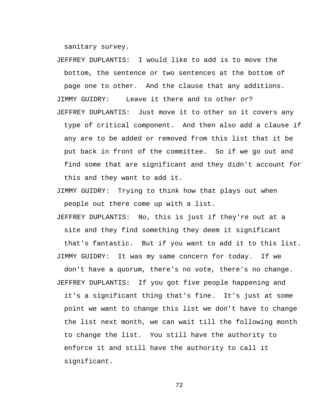sanitary survey.

JEFFREY DUPLANTIS: I would like to add is to move the bottom, the sentence or two sentences at the bottom of page one to other. And the clause that any additions. JIMMY GUIDRY: Leave it there and to other or? JEFFREY DUPLANTIS: Just move it to other so it covers any type of critical component. And then also add a clause if any are to be added or removed from this list that it be put back in front of the committee. So if we go out and find some that are significant and they didn't account for this and they want to add it.

JIMMY GUIDRY: Trying to think how that plays out when people out there come up with a list.

JEFFREY DUPLANTIS: No, this is just if they're out at a site and they find something they deem it significant that's fantastic. But if you want to add it to this list. JIMMY GUIDRY: It was my same concern for today. If we don't have a quorum, there's no vote, there's no change. JEFFREY DUPLANTIS: If you got five people happening and it's a significant thing that's fine. It's just at some point we want to change this list we don't have to change the list next month, we can wait till the following month to change the list. You still have the authority to enforce it and still have the authority to call it significant.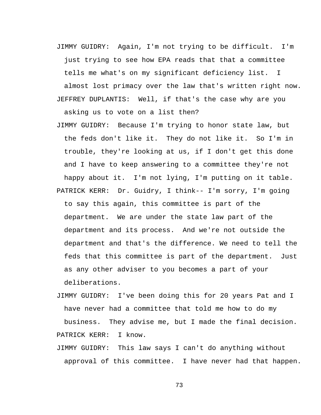JIMMY GUIDRY: Again, I'm not trying to be difficult. I'm just trying to see how EPA reads that that a committee tells me what's on my significant deficiency list. I

almost lost primacy over the law that's written right now. JEFFREY DUPLANTIS: Well, if that's the case why are you asking us to vote on a list then?

- JIMMY GUIDRY: Because I'm trying to honor state law, but the feds don't like it. They do not like it. So I'm in trouble, they're looking at us, if I don't get this done and I have to keep answering to a committee they're not happy about it. I'm not lying, I'm putting on it table. PATRICK KERR: Dr. Guidry, I think-- I'm sorry, I'm going to say this again, this committee is part of the department. We are under the state law part of the department and its process. And we're not outside the department and that's the difference. We need to tell the feds that this committee is part of the department. Just as any other adviser to you becomes a part of your deliberations.
- JIMMY GUIDRY: I've been doing this for 20 years Pat and I have never had a committee that told me how to do my business. They advise me, but I made the final decision. PATRICK KERR: I know.
- JIMMY GUIDRY: This law says I can't do anything without approval of this committee. I have never had that happen.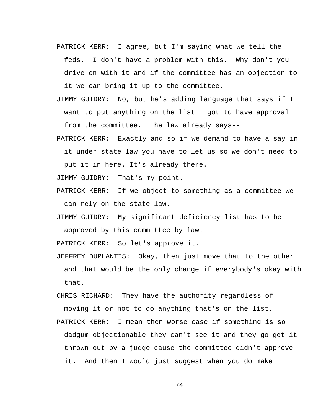- PATRICK KERR: I agree, but I'm saying what we tell the feds. I don't have a problem with this. Why don't you drive on with it and if the committee has an objection to it we can bring it up to the committee.
- JIMMY GUIDRY: No, but he's adding language that says if I want to put anything on the list I got to have approval from the committee. The law already says--
- PATRICK KERR: Exactly and so if we demand to have a say in it under state law you have to let us so we don't need to put it in here. It's already there.
- JIMMY GUIDRY: That's my point.
- PATRICK KERR: If we object to something as a committee we can rely on the state law.
- JIMMY GUIDRY: My significant deficiency list has to be approved by this committee by law.

PATRICK KERR: So let's approve it.

- JEFFREY DUPLANTIS: Okay, then just move that to the other and that would be the only change if everybody's okay with that.
- CHRIS RICHARD: They have the authority regardless of moving it or not to do anything that's on the list.
- PATRICK KERR: I mean then worse case if something is so dadgum objectionable they can't see it and they go get it thrown out by a judge cause the committee didn't approve it. And then I would just suggest when you do make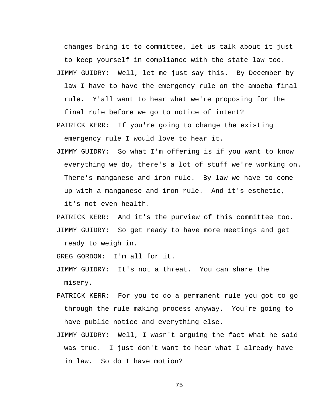changes bring it to committee, let us talk about it just to keep yourself in compliance with the state law too.

JIMMY GUIDRY: Well, let me just say this. By December by law I have to have the emergency rule on the amoeba final rule. Y'all want to hear what we're proposing for the final rule before we go to notice of intent?

PATRICK KERR: If you're going to change the existing emergency rule I would love to hear it.

JIMMY GUIDRY: So what I'm offering is if you want to know everything we do, there's a lot of stuff we're working on. There's manganese and iron rule. By law we have to come up with a manganese and iron rule. And it's esthetic, it's not even health.

PATRICK KERR: And it's the purview of this committee too. JIMMY GUIDRY: So get ready to have more meetings and get ready to weigh in.

GREG GORDON: I'm all for it.

JIMMY GUIDRY: It's not a threat. You can share the misery.

- PATRICK KERR: For you to do a permanent rule you got to go through the rule making process anyway. You're going to have public notice and everything else.
- JIMMY GUIDRY: Well, I wasn't arguing the fact what he said was true. I just don't want to hear what I already have in law. So do I have motion?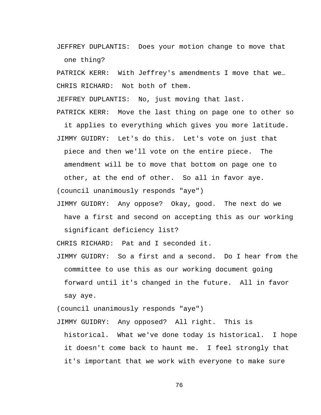JEFFREY DUPLANTIS: Does your motion change to move that one thing?

PATRICK KERR: With Jeffrey's amendments I move that we… CHRIS RICHARD: Not both of them.

JEFFREY DUPLANTIS: No, just moving that last.

PATRICK KERR: Move the last thing on page one to other so

it applies to everything which gives you more latitude. JIMMY GUIDRY: Let's do this. Let's vote on just that

piece and then we'll vote on the entire piece. The

amendment will be to move that bottom on page one to

other, at the end of other. So all in favor aye.

(council unanimously responds "aye")

JIMMY GUIDRY: Any oppose? Okay, good. The next do we have a first and second on accepting this as our working significant deficiency list?

CHRIS RICHARD: Pat and I seconded it.

JIMMY GUIDRY: So a first and a second. Do I hear from the committee to use this as our working document going forward until it's changed in the future. All in favor say aye.

(council unanimously responds "aye")

JIMMY GUIDRY: Any opposed? All right. This is historical. What we've done today is historical. I hope it doesn't come back to haunt me. I feel strongly that it's important that we work with everyone to make sure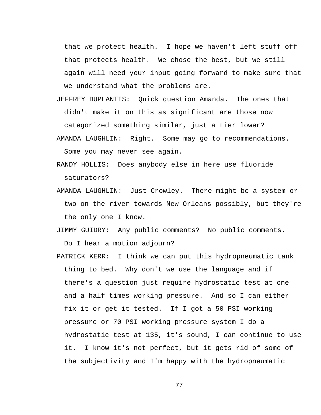that we protect health. I hope we haven't left stuff off that protects health. We chose the best, but we still again will need your input going forward to make sure that we understand what the problems are.

- JEFFREY DUPLANTIS: Quick question Amanda. The ones that didn't make it on this as significant are those now categorized something similar, just a tier lower?
- AMANDA LAUGHLIN: Right. Some may go to recommendations. Some you may never see again.
- RANDY HOLLIS: Does anybody else in here use fluoride saturators?
- AMANDA LAUGHLIN: Just Crowley. There might be a system or two on the river towards New Orleans possibly, but they're the only one I know.

JIMMY GUIDRY: Any public comments? No public comments. Do I hear a motion adjourn?

PATRICK KERR: I think we can put this hydropneumatic tank thing to bed. Why don't we use the language and if there's a question just require hydrostatic test at one and a half times working pressure. And so I can either fix it or get it tested. If I got a 50 PSI working pressure or 70 PSI working pressure system I do a hydrostatic test at 135, it's sound, I can continue to use it. I know it's not perfect, but it gets rid of some of the subjectivity and I'm happy with the hydropneumatic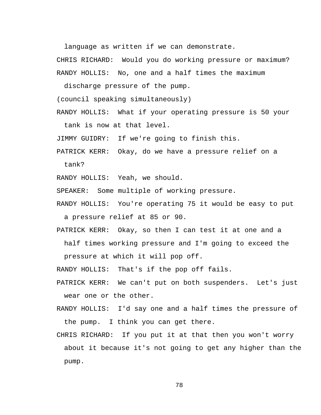language as written if we can demonstrate.

CHRIS RICHARD: Would you do working pressure or maximum? RANDY HOLLIS: No, one and a half times the maximum

discharge pressure of the pump.

(council speaking simultaneously)

RANDY HOLLIS: What if your operating pressure is 50 your tank is now at that level.

JIMMY GUIDRY: If we're going to finish this.

PATRICK KERR: Okay, do we have a pressure relief on a tank?

RANDY HOLLIS: Yeah, we should.

SPEAKER: Some multiple of working pressure.

RANDY HOLLIS: You're operating 75 it would be easy to put a pressure relief at 85 or 90.

PATRICK KERR: Okay, so then I can test it at one and a half times working pressure and I'm going to exceed the pressure at which it will pop off.

RANDY HOLLIS: That's if the pop off fails.

- PATRICK KERR: We can't put on both suspenders. Let's just wear one or the other.
- RANDY HOLLIS: I'd say one and a half times the pressure of the pump. I think you can get there.
- CHRIS RICHARD: If you put it at that then you won't worry about it because it's not going to get any higher than the pump.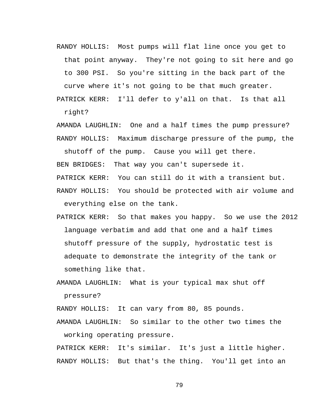RANDY HOLLIS: Most pumps will flat line once you get to that point anyway. They're not going to sit here and go to 300 PSI. So you're sitting in the back part of the curve where it's not going to be that much greater.

PATRICK KERR: I'll defer to y'all on that. Is that all right?

AMANDA LAUGHLIN: One and a half times the pump pressure? RANDY HOLLIS: Maximum discharge pressure of the pump, the

BEN BRIDGES: That way you can't supersede it.

shutoff of the pump. Cause you will get there.

PATRICK KERR: You can still do it with a transient but.

RANDY HOLLIS: You should be protected with air volume and everything else on the tank.

PATRICK KERR: So that makes you happy. So we use the 2012 language verbatim and add that one and a half times shutoff pressure of the supply, hydrostatic test is adequate to demonstrate the integrity of the tank or something like that.

AMANDA LAUGHLIN: What is your typical max shut off pressure?

RANDY HOLLIS: It can vary from 80, 85 pounds.

AMANDA LAUGHLIN: So similar to the other two times the working operating pressure.

PATRICK KERR: It's similar. It's just a little higher. RANDY HOLLIS: But that's the thing. You'll get into an